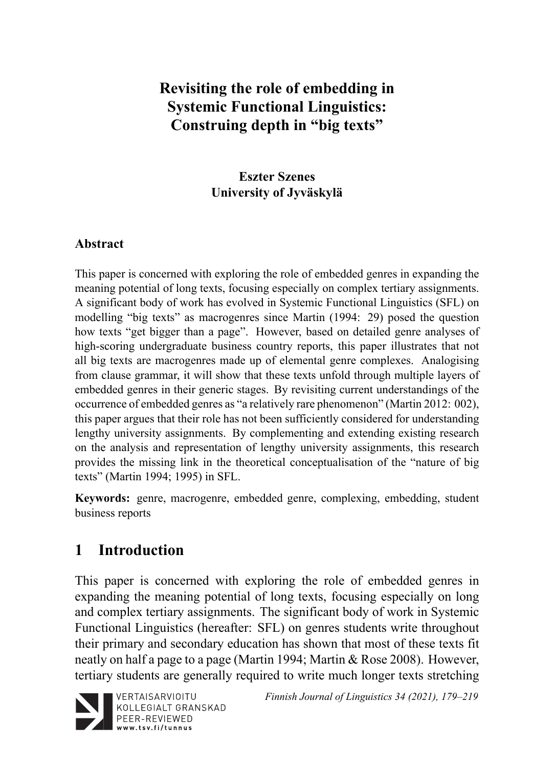# **Revisiting the role of embedding in Systemic Functional Linguistics: Construing depth in "big texts"**

## **Eszter Szenes University of Jyväskylä**

## **Abstract**

This paper is concerned with exploring the role of embedded genres in expanding the meaning potential of long texts, focusing especially on complex tertiary assignments. A significant body of work has evolved in Systemic Functional Linguistics (SFL) on modelling "big texts" as macrogenres since Martin (1994: 29) posed the question how texts "get bigger than a page". However, based on detailed genre analyses of high-scoring undergraduate business country reports, this paper illustrates that not all big texts are macrogenres made up of elemental genre complexes. Analogising from clause grammar, it will show that these texts unfold through multiple layers of embedded genres in their generic stages. By revisiting current understandings of the occurrence of embedded genres as "a relatively rare phenomenon" (Martin 2012: 002), this paper argues that their role has not been sufficiently considered for understanding lengthy university assignments. By complementing and extending existing research on the analysis and representation of lengthy university assignments, this research provides the missing link in the theoretical conceptualisation of the "nature of big texts" (Martin 1994; 1995) in SFL.

**Keywords:** genre, macrogenre, embedded genre, complexing, embedding, student business reports

# **1 Introduction**

This paper is concerned with exploring the role of embedded genres in expanding the meaning potential of long texts, focusing especially on long and complex tertiary assignments. The significant body of work in Systemic Functional Linguistics (hereafter: SFL) on genres students write throughout their primary and secondary education has shown that most of these texts fit neatly on half a page to a page (Martin 1994; Martin & Rose 2008). However, tertiary students are generally required to write much longer texts stretching



VERTAISARVIOITU KOLLEGIALT GRANSKAD PEER-REVIEWED www.tsv.fi/tunnus

*Finnish Journal of Linguistics 34 (2021), 179–219*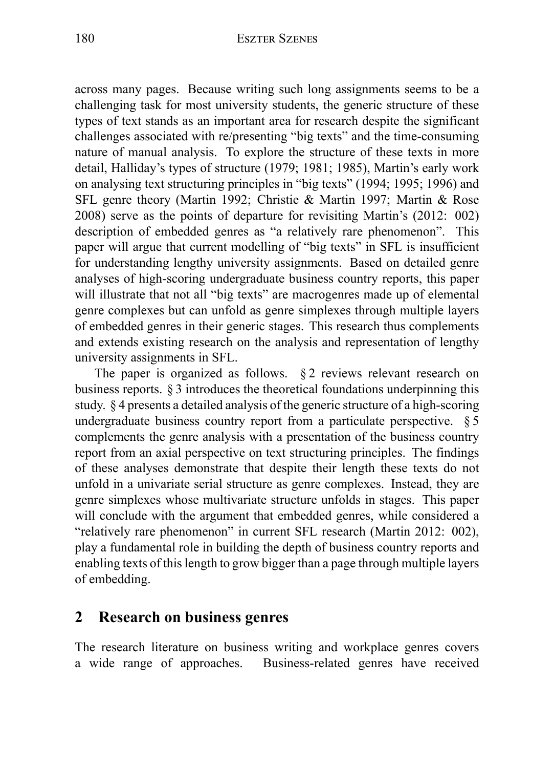across many pages. Because writing such long assignments seems to be a challenging task for most university students, the generic structure of these types of text stands as an important area for research despite the significant challenges associated with re/presenting "big texts" and the time-consuming nature of manual analysis. To explore the structure of these texts in more detail, Halliday's types of structure (1979; 1981; 1985), Martin's early work on analysing text structuring principles in "big texts" (1994; 1995; 1996) and SFL genre theory (Martin 1992; Christie & Martin 1997; Martin & Rose 2008) serve as the points of departure for revisiting Martin's (2012: 002) description of embedded genres as "a relatively rare phenomenon". This paper will argue that current modelling of "big texts" in SFL is insufficient for understanding lengthy university assignments. Based on detailed genre analyses of high-scoring undergraduate business country reports, this paper will illustrate that not all "big texts" are macrogenres made up of elemental genre complexes but can unfold as genre simplexes through multiple layers of embedded genres in their generic stages. This research thus complements and extends existing research on the analysis and representation of lengthy university assignments in SFL.

The paper is organized as follows. § 2 reviews relevant research on business reports. § 3 introduces the theoretical foundations underpinning this study. § 4 presents a detailed analysis of the generic structure of a high-scoring undergraduate business country report from a particulate perspective. § 5 complements the genre analysis with a presentation of the business country report from an axial perspective on text structuring principles. The findings of these analyses demonstrate that despite their length these texts do not unfold in a univariate serial structure as genre complexes. Instead, they are genre simplexes whose multivariate structure unfolds in stages. This paper will conclude with the argument that embedded genres, while considered a "relatively rare phenomenon" in current SFL research (Martin 2012: 002), play a fundamental role in building the depth of business country reports and enabling texts of this length to grow bigger than a page through multiple layers of embedding.

## **2 Research on business genres**

The research literature on business writing and workplace genres covers a wide range of approaches. Business-related genres have received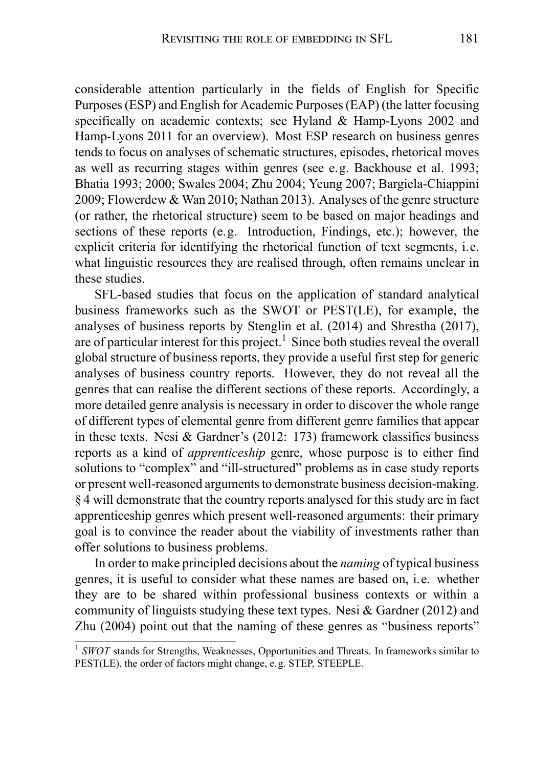considerable attention particularly in the fields of English for Specific Purposes (ESP) and English for Academic Purposes (EAP) (the latter focusing specifically on academic contexts; see Hyland & Hamp-Lyons 2002 and Hamp-Lyons 2011 for an overview). Most ESP research on business genres tends to focus on analyses of schematic structures, episodes, rhetorical moves as well as recurring stages within genres (see e.g. Backhouse et al. 1993; Bhatia 1993; 2000; Swales 2004; Zhu 2004; Yeung 2007; Bargiela-Chiappini 2009; Flowerdew & Wan 2010; Nathan 2013). Analyses of the genre structure (or rather, the rhetorical structure) seem to be based on major headings and sections of these reports (e.g. Introduction, Findings, etc.); however, the explicit criteria for identifying the rhetorical function of text segments, i.e. what linguistic resources they are realised through, often remains unclear in these studies.

SFL-based studies that focus on the application of standard analytical business frameworks such as the SWOT or PEST(LE), for example, the analyses of business reports by Stenglin et al. (2014) and Shrestha (2017), are of particular interest for this project.<sup>1</sup> Since both studies reveal the overall global structure of business reports, they provide a useful first step for generic analyses of business country reports. However, they do not reveal all the genres that can realise the different sections of these reports. Accordingly, a more detailed genre analysis is necessary in order to discover the whole range of different types of elemental genre from different genre families that appear in these texts. Nesi & Gardner's (2012: 173) framework classifies business reports as a kind of *apprenticeship* genre, whose purpose is to either find solutions to "complex" and "ill-structured" problems as in case study reports or present well-reasoned arguments to demonstrate business decision-making. § 4 will demonstrate that the country reports analysed for this study are in fact apprenticeship genres which present well-reasoned arguments: their primary goal is to convince the reader about the viability of investments rather than offer solutions to business problems.

In order to make principled decisions about the *naming* of typical business genres, it is useful to consider what these names are based on, i.e. whether they are to be shared within professional business contexts or within a community of linguists studying these text types. Nesi & Gardner (2012) and Zhu (2004) point out that the naming of these genres as "business reports"

<sup>&</sup>lt;sup>1</sup> *SWOT* stands for Strengths, Weaknesses, Opportunities and Threats. In frameworks similar to PEST(LE), the order of factors might change, e.g. STEP, STEEPLE.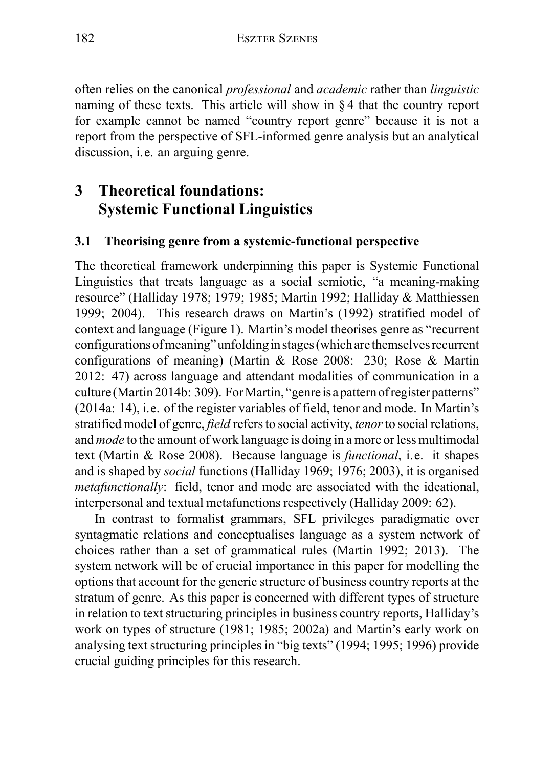often relies on the canonical *professional* and *academic* rather than *linguistic* naming of these texts. This article will show in § 4 that the country report for example cannot be named "country report genre" because it is not a report from the perspective of SFL-informed genre analysis but an analytical discussion, i.e. an arguing genre.

# **3 Theoretical foundations: Systemic Functional Linguistics**

## **3.1 Theorising genre from a systemic-functional perspective**

The theoretical framework underpinning this paper is Systemic Functional Linguistics that treats language as a social semiotic, "a meaning-making resource" (Halliday 1978; 1979; 1985; Martin 1992; Halliday & Matthiessen 1999; 2004). This research draws on Martin's (1992) stratified model of context and language (Figure 1). Martin's model theorises genre as "recurrent configurations ofmeaning" unfoldingin stages (which arethemselves recurrent configurations of meaning) (Martin & Rose 2008: 230; Rose & Martin 2012: 47) across language and attendant modalities of communication in a culture (Martin 2014b: 309). For Martin, "genre is a pattern of register patterns" (2014a: 14), i.e. of the register variables of field, tenor and mode. In Martin's stratified model of genre, *field* refers to social activity, *tenor*to social relations, and *mode* to the amount of work language is doing in a more or less multimodal text (Martin & Rose 2008). Because language is *functional*, i.e. it shapes and is shaped by *social* functions (Halliday 1969; 1976; 2003), it is organised *metafunctionally*: field, tenor and mode are associated with the ideational, interpersonal and textual metafunctions respectively (Halliday 2009: 62).

In contrast to formalist grammars, SFL privileges paradigmatic over syntagmatic relations and conceptualises language as a system network of choices rather than a set of grammatical rules (Martin 1992; 2013). The system network will be of crucial importance in this paper for modelling the options that account for the generic structure of business country reports at the stratum of genre. As this paper is concerned with different types of structure in relation to text structuring principles in business country reports, Halliday's work on types of structure (1981; 1985; 2002a) and Martin's early work on analysing text structuring principles in "big texts" (1994; 1995; 1996) provide crucial guiding principles for this research.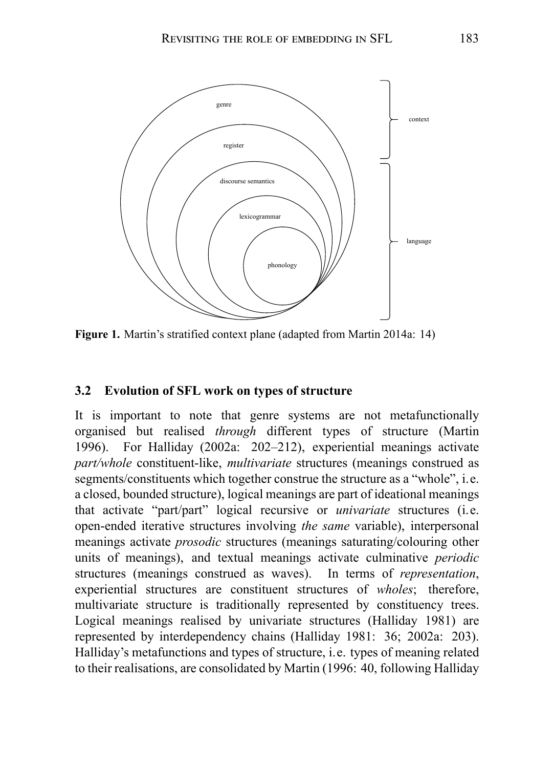

**Figure 1.** Martin's stratified context plane (adapted from Martin 2014a: 14)

#### **3.2 Evolution of SFL work on types of structure**

It is important to note that genre systems are not metafunctionally organised but realised *through* different types of structure (Martin 1996). For Halliday (2002a: 202–212), experiential meanings activate *part/whole* constituent-like, *multivariate* structures (meanings construed as segments/constituents which together construe the structure as a "whole", i.e. a closed, bounded structure), logical meanings are part of ideational meanings that activate "part/part" logical recursive or *univariate* structures (i.e. open-ended iterative structures involving *the same* variable), interpersonal meanings activate *prosodic* structures (meanings saturating/colouring other units of meanings), and textual meanings activate culminative *periodic* structures (meanings construed as waves). In terms of *representation*, experiential structures are constituent structures of *wholes*; therefore, multivariate structure is traditionally represented by constituency trees. Logical meanings realised by univariate structures (Halliday 1981) are represented by interdependency chains (Halliday 1981: 36; 2002a: 203). Halliday's metafunctions and types of structure, i.e. types of meaning related to their realisations, are consolidated by Martin (1996: 40, following Halliday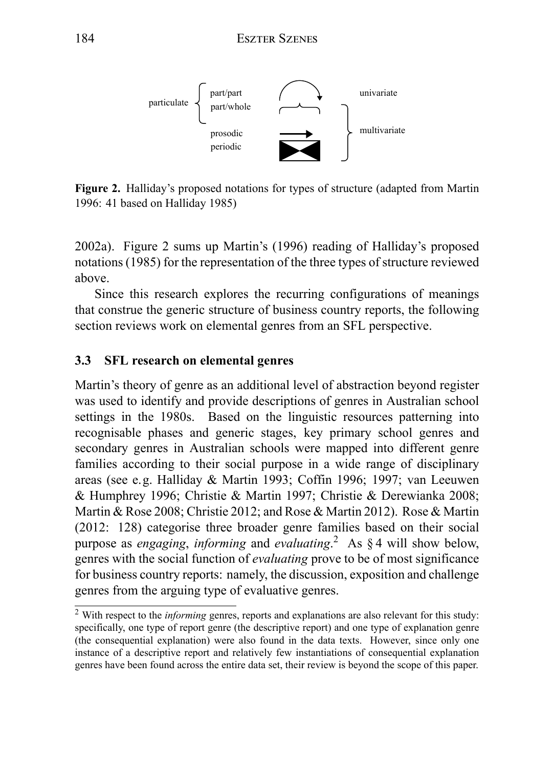

**Figure 2.** Halliday's proposed notations for types of structure (adapted from Martin 1996: 41 based on Halliday 1985)

2002a). Figure 2 sums up Martin's (1996) reading of Halliday's proposed notations (1985) for the representation of the three types of structure reviewed above.

Since this research explores the recurring configurations of meanings that construe the generic structure of business country reports, the following section reviews work on elemental genres from an SFL perspective.

### **3.3 SFL research on elemental genres**

Martin's theory of genre as an additional level of abstraction beyond register was used to identify and provide descriptions of genres in Australian school settings in the 1980s. Based on the linguistic resources patterning into recognisable phases and generic stages, key primary school genres and secondary genres in Australian schools were mapped into different genre families according to their social purpose in a wide range of disciplinary areas (see e.g. Halliday & Martin 1993; Coffin 1996; 1997; van Leeuwen & Humphrey 1996; Christie & Martin 1997; Christie & Derewianka 2008; Martin & Rose 2008; Christie 2012; and Rose & Martin 2012). Rose & Martin (2012: 128) categorise three broader genre families based on their social purpose as *engaging*, *informing* and *evaluating*. <sup>2</sup> As § 4 will show below, genres with the social function of *evaluating* prove to be of most significance for business country reports: namely, the discussion, exposition and challenge genres from the arguing type of evaluative genres.

<sup>2</sup> With respect to the *informing* genres, reports and explanations are also relevant for this study: specifically, one type of report genre (the descriptive report) and one type of explanation genre (the consequential explanation) were also found in the data texts. However, since only one instance of a descriptive report and relatively few instantiations of consequential explanation genres have been found across the entire data set, their review is beyond the scope of this paper.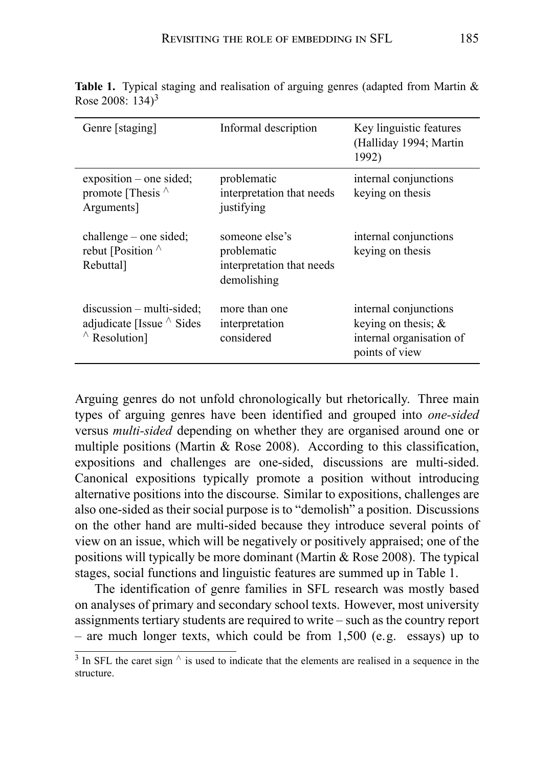| Genre [staging]                                                                         | Informal description                                                      | Key linguistic features<br>(Halliday 1994; Martin<br>1992)                                    |
|-----------------------------------------------------------------------------------------|---------------------------------------------------------------------------|-----------------------------------------------------------------------------------------------|
| $exposition$ – one sided;<br>promote [Thesis $\wedge$<br>Arguments]                     | problematic<br>interpretation that needs<br>justifying                    | internal conjunctions<br>keying on thesis                                                     |
| $challenge - one sided;$<br>rebut [Position $\wedge$<br>Rebuttal]                       | someone else's<br>problematic<br>interpretation that needs<br>demolishing | internal conjunctions<br>keying on thesis                                                     |
| $discussion - multi-sided;$<br>adjudicate [Issue $\wedge$ Sides<br>$\wedge$ Resolution] | more than one<br>interpretation<br>considered                             | internal conjunctions<br>keying on thesis; $\&$<br>internal organisation of<br>points of view |

**Table 1.** Typical staging and realisation of arguing genres (adapted from Martin & Rose 2008:  $134$ <sup>3</sup>

Arguing genres do not unfold chronologically but rhetorically. Three main types of arguing genres have been identified and grouped into *one-sided* versus *multi-sided* depending on whether they are organised around one or multiple positions (Martin & Rose 2008). According to this classification, expositions and challenges are one-sided, discussions are multi-sided. Canonical expositions typically promote a position without introducing alternative positions into the discourse. Similar to expositions, challenges are also one-sided as their social purpose is to "demolish" a position. Discussions on the other hand are multi-sided because they introduce several points of view on an issue, which will be negatively or positively appraised; one of the positions will typically be more dominant (Martin & Rose 2008). The typical stages, social functions and linguistic features are summed up in Table 1.

The identification of genre families in SFL research was mostly based on analyses of primary and secondary school texts. However, most university assignments tertiary students are required to write – such as the country report – are much longer texts, which could be from 1,500 (e.g. essays) up to

<sup>3</sup> In SFL the caret sign *∧* is used to indicate that the elements are realised in a sequence in the structure.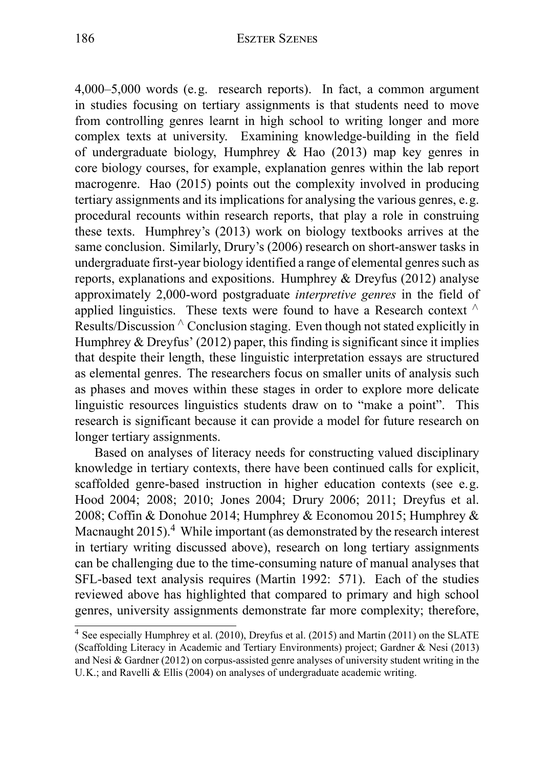4,000–5,000 words (e.g. research reports). In fact, a common argument in studies focusing on tertiary assignments is that students need to move from controlling genres learnt in high school to writing longer and more complex texts at university. Examining knowledge-building in the field of undergraduate biology, Humphrey & Hao (2013) map key genres in core biology courses, for example, explanation genres within the lab report macrogenre. Hao (2015) points out the complexity involved in producing tertiary assignments and its implications for analysing the various genres, e.g. procedural recounts within research reports, that play a role in construing these texts. Humphrey's (2013) work on biology textbooks arrives at the same conclusion. Similarly, Drury's (2006) research on short-answer tasks in undergraduate first-year biology identified a range of elemental genres such as reports, explanations and expositions. Humphrey & Dreyfus (2012) analyse approximately 2,000-word postgraduate *interpretive genres* in the field of applied linguistics. These texts were found to have a Research context *∧* Results/Discussion *∧* Conclusion staging. Even though not stated explicitly in Humphrey & Dreyfus' (2012) paper, this finding is significant since it implies that despite their length, these linguistic interpretation essays are structured as elemental genres. The researchers focus on smaller units of analysis such as phases and moves within these stages in order to explore more delicate linguistic resources linguistics students draw on to "make a point". This research is significant because it can provide a model for future research on longer tertiary assignments.

Based on analyses of literacy needs for constructing valued disciplinary knowledge in tertiary contexts, there have been continued calls for explicit, scaffolded genre-based instruction in higher education contexts (see e.g. Hood 2004; 2008; 2010; Jones 2004; Drury 2006; 2011; Dreyfus et al. 2008; Coffin & Donohue 2014; Humphrey & Economou 2015; Humphrey & Macnaught  $2015$ ).<sup>4</sup> While important (as demonstrated by the research interest in tertiary writing discussed above), research on long tertiary assignments can be challenging due to the time-consuming nature of manual analyses that SFL-based text analysis requires (Martin 1992: 571). Each of the studies reviewed above has highlighted that compared to primary and high school genres, university assignments demonstrate far more complexity; therefore,

<sup>4</sup> See especially Humphrey et al. (2010), Dreyfus et al. (2015) and Martin (2011) on the SLATE (Scaffolding Literacy in Academic and Tertiary Environments) project; Gardner & Nesi (2013) and Nesi & Gardner (2012) on corpus-assisted genre analyses of university student writing in the U.K.; and Ravelli & Ellis (2004) on analyses of undergraduate academic writing.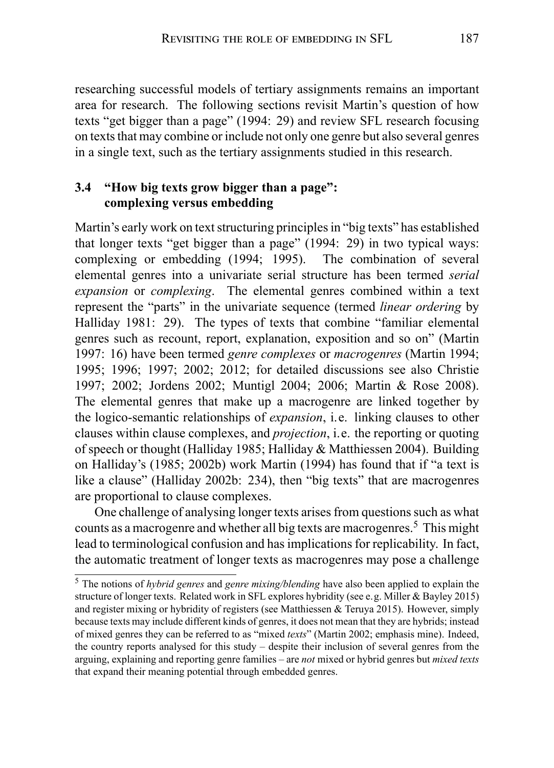researching successful models of tertiary assignments remains an important area for research. The following sections revisit Martin's question of how texts "get bigger than a page" (1994: 29) and review SFL research focusing on texts that may combine or include not only one genre but also several genres in a single text, such as the tertiary assignments studied in this research.

## **3.4 "How big texts grow bigger than a page": complexing versus embedding**

Martin's early work on text structuring principles in "big texts" has established that longer texts "get bigger than a page" (1994: 29) in two typical ways: complexing or embedding (1994; 1995). The combination of several elemental genres into a univariate serial structure has been termed *serial expansion* or *complexing*. The elemental genres combined within a text represent the "parts" in the univariate sequence (termed *linear ordering* by Halliday 1981: 29). The types of texts that combine "familiar elemental genres such as recount, report, explanation, exposition and so on" (Martin 1997: 16) have been termed *genre complexes* or *macrogenres* (Martin 1994; 1995; 1996; 1997; 2002; 2012; for detailed discussions see also Christie 1997; 2002; Jordens 2002; Muntigl 2004; 2006; Martin & Rose 2008). The elemental genres that make up a macrogenre are linked together by the logico-semantic relationships of *expansion*, i.e. linking clauses to other clauses within clause complexes, and *projection*, i.e. the reporting or quoting of speech or thought (Halliday 1985; Halliday & Matthiessen 2004). Building on Halliday's (1985; 2002b) work Martin (1994) has found that if "a text is like a clause" (Halliday 2002b: 234), then "big texts" that are macrogenres are proportional to clause complexes.

One challenge of analysing longer texts arises from questions such as what counts as a macrogenre and whether all big texts are macrogenres.<sup>5</sup> This might lead to terminological confusion and has implications for replicability. In fact, the automatic treatment of longer texts as macrogenres may pose a challenge

<sup>5</sup> The notions of *hybrid genres* and *genre mixing/blending* have also been applied to explain the structure of longer texts. Related work in SFL explores hybridity (see e.g. Miller & Bayley 2015) and register mixing or hybridity of registers (see Matthiessen & Teruya 2015). However, simply because texts may include different kinds of genres, it does not mean that they are hybrids; instead of mixed genres they can be referred to as "mixed *texts*" (Martin 2002; emphasis mine). Indeed, the country reports analysed for this study – despite their inclusion of several genres from the arguing, explaining and reporting genre families – are *not* mixed or hybrid genres but *mixed texts* that expand their meaning potential through embedded genres.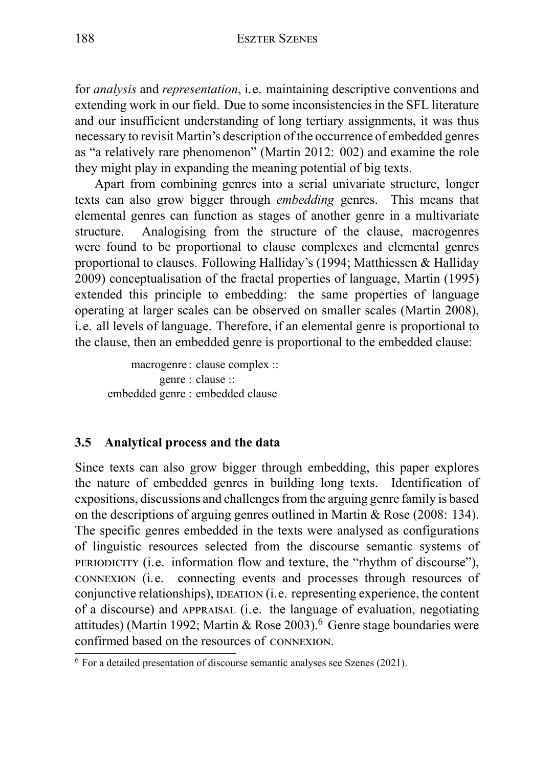for *analysis* and *representation*, i.e. maintaining descriptive conventions and extending work in our field. Due to some inconsistencies in the SFL literature and our insufficient understanding of long tertiary assignments, it was thus necessary to revisit Martin's description of the occurrence of embedded genres as "a relatively rare phenomenon" (Martin 2012: 002) and examine the role they might play in expanding the meaning potential of big texts.

Apart from combining genres into a serial univariate structure, longer texts can also grow bigger through *embedding* genres. This means that elemental genres can function as stages of another genre in a multivariate structure. Analogising from the structure of the clause, macrogenres were found to be proportional to clause complexes and elemental genres proportional to clauses. Following Halliday's (1994; Matthiessen & Halliday 2009) conceptualisation of the fractal properties of language, Martin (1995) extended this principle to embedding: the same properties of language operating at larger scales can be observed on smaller scales (Martin 2008), i.e. all levels of language. Therefore, if an elemental genre is proportional to the clause, then an embedded genre is proportional to the embedded clause:

macrogenre : clause complex :: genre : clause :: embedded genre : embedded clause

## **3.5 Analytical process and the data**

Since texts can also grow bigger through embedding, this paper explores the nature of embedded genres in building long texts. Identification of expositions, discussions and challenges from the arguing genre family is based on the descriptions of arguing genres outlined in Martin & Rose (2008: 134). The specific genres embedded in the texts were analysed as configurations of linguistic resources selected from the discourse semantic systems of PERIODICITY (i.e. information flow and texture, the "rhythm of discourse"), CONNEXION (i.e. connecting events and processes through resources of conjunctive relationships), IDEATION (i.e. representing experience, the content of a discourse) and APPRAISAL (i.e. the language of evaluation, negotiating attitudes) (Martin 1992; Martin & Rose 2003).<sup>6</sup> Genre stage boundaries were confirmed based on the resources of CONNEXION.

<sup>6</sup> For a detailed presentation of discourse semantic analyses see Szenes (2021).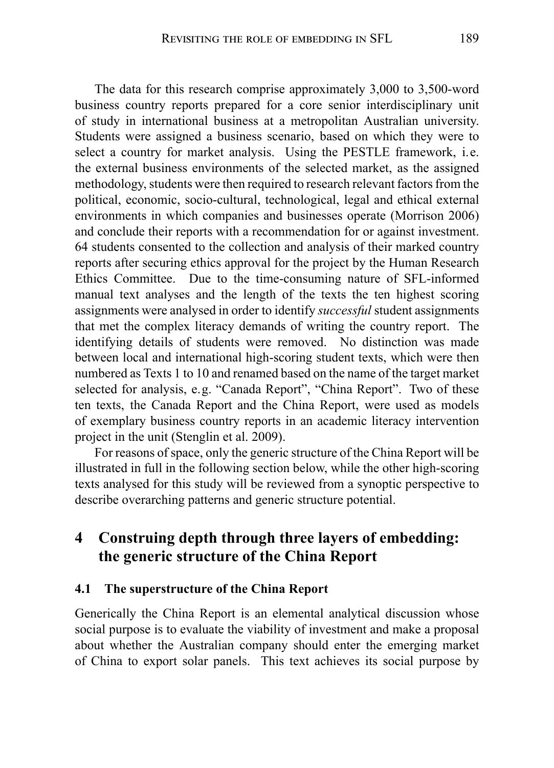The data for this research comprise approximately 3,000 to 3,500-word business country reports prepared for a core senior interdisciplinary unit of study in international business at a metropolitan Australian university. Students were assigned a business scenario, based on which they were to select a country for market analysis. Using the PESTLE framework, i.e. the external business environments of the selected market, as the assigned methodology, students were then required to research relevant factors from the political, economic, socio-cultural, technological, legal and ethical external environments in which companies and businesses operate (Morrison 2006) and conclude their reports with a recommendation for or against investment. 64 students consented to the collection and analysis of their marked country reports after securing ethics approval for the project by the Human Research Ethics Committee. Due to the time-consuming nature of SFL-informed manual text analyses and the length of the texts the ten highest scoring assignments were analysed in order to identify *successful* student assignments that met the complex literacy demands of writing the country report. The identifying details of students were removed. No distinction was made between local and international high-scoring student texts, which were then numbered as Texts 1 to 10 and renamed based on the name of the target market selected for analysis, e.g. "Canada Report", "China Report". Two of these ten texts, the Canada Report and the China Report, were used as models of exemplary business country reports in an academic literacy intervention project in the unit (Stenglin et al. 2009).

For reasons of space, only the generic structure of the China Report will be illustrated in full in the following section below, while the other high-scoring texts analysed for this study will be reviewed from a synoptic perspective to describe overarching patterns and generic structure potential.

## **4 Construing depth through three layers of embedding: the generic structure of the China Report**

#### **4.1 The superstructure of the China Report**

Generically the China Report is an elemental analytical discussion whose social purpose is to evaluate the viability of investment and make a proposal about whether the Australian company should enter the emerging market of China to export solar panels. This text achieves its social purpose by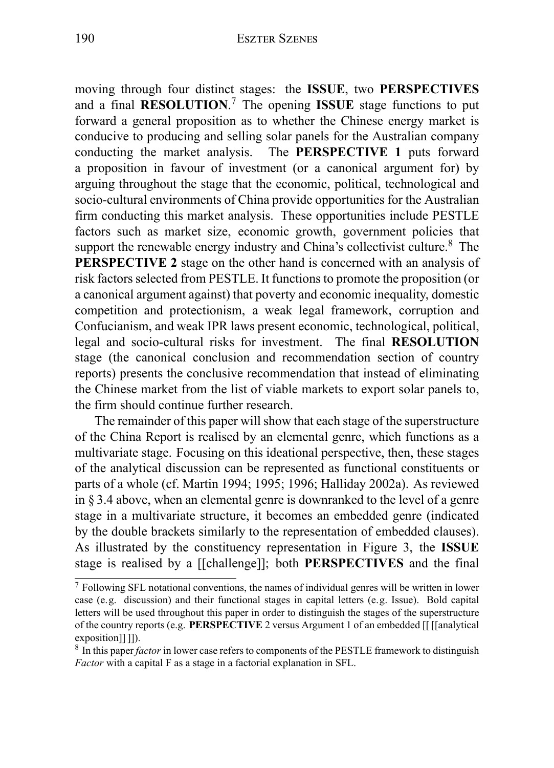moving through four distinct stages: the **ISSUE**, two **PERSPECTIVES** and a final **RESOLUTION**. <sup>7</sup> The opening **ISSUE** stage functions to put forward a general proposition as to whether the Chinese energy market is conducive to producing and selling solar panels for the Australian company conducting the market analysis. The **PERSPECTIVE 1** puts forward a proposition in favour of investment (or a canonical argument for) by arguing throughout the stage that the economic, political, technological and socio-cultural environments of China provide opportunities for the Australian firm conducting this market analysis. These opportunities include PESTLE factors such as market size, economic growth, government policies that support the renewable energy industry and China's collectivist culture.<sup>8</sup> The **PERSPECTIVE 2** stage on the other hand is concerned with an analysis of risk factors selected from PESTLE. It functions to promote the proposition (or a canonical argument against) that poverty and economic inequality, domestic competition and protectionism, a weak legal framework, corruption and Confucianism, and weak IPR laws present economic, technological, political, legal and socio-cultural risks for investment. The final **RESOLUTION** stage (the canonical conclusion and recommendation section of country reports) presents the conclusive recommendation that instead of eliminating the Chinese market from the list of viable markets to export solar panels to, the firm should continue further research.

The remainder of this paper will show that each stage of the superstructure of the China Report is realised by an elemental genre, which functions as a multivariate stage. Focusing on this ideational perspective, then, these stages of the analytical discussion can be represented as functional constituents or parts of a whole (cf. Martin 1994; 1995; 1996; Halliday 2002a). As reviewed in § 3.4 above, when an elemental genre is downranked to the level of a genre stage in a multivariate structure, it becomes an embedded genre (indicated by the double brackets similarly to the representation of embedded clauses). As illustrated by the constituency representation in Figure 3, the **ISSUE** stage is realised by a [[challenge]]; both **PERSPECTIVES** and the final

<sup>7</sup> Following SFL notational conventions, the names of individual genres will be written in lower case (e.g. discussion) and their functional stages in capital letters (e.g. Issue). Bold capital letters will be used throughout this paper in order to distinguish the stages of the superstructure of the country reports (e.g. **PERSPECTIVE** 2 versus Argument 1 of an embedded [[ [[analytical exposition]]]).

<sup>8</sup> In this paper *factor* in lower case refers to components of the PESTLE framework to distinguish *Factor* with a capital F as a stage in a factorial explanation in SFL.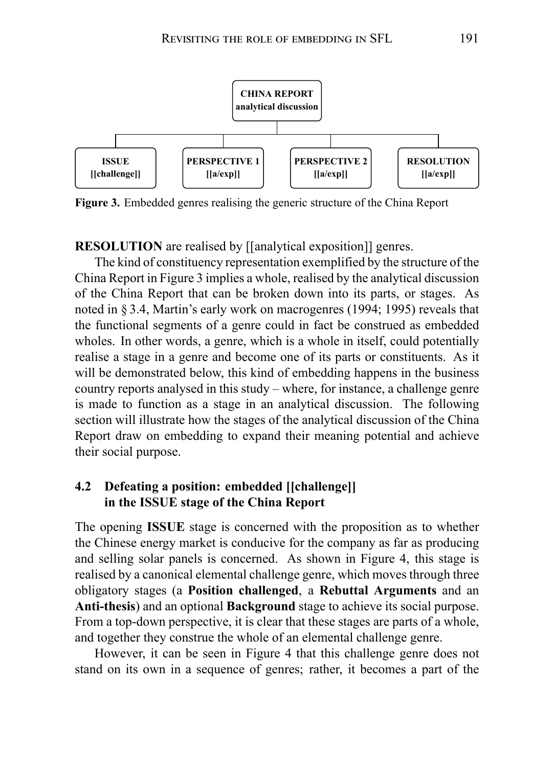

**Figure 3.** Embedded genres realising the generic structure of the China Report

**RESOLUTION** are realised by [[analytical exposition]] genres.

The kind of constituency representation exemplified by the structure of the China Report in Figure 3 implies a whole, realised by the analytical discussion of the China Report that can be broken down into its parts, or stages. As noted in § 3.4, Martin's early work on macrogenres (1994; 1995) reveals that the functional segments of a genre could in fact be construed as embedded wholes. In other words, a genre, which is a whole in itself, could potentially realise a stage in a genre and become one of its parts or constituents. As it will be demonstrated below, this kind of embedding happens in the business country reports analysed in this study – where, for instance, a challenge genre is made to function as a stage in an analytical discussion. The following section will illustrate how the stages of the analytical discussion of the China Report draw on embedding to expand their meaning potential and achieve their social purpose.

### **4.2 Defeating a position: embedded [[challenge]] in the ISSUE stage of the China Report**

The opening **ISSUE** stage is concerned with the proposition as to whether the Chinese energy market is conducive for the company as far as producing and selling solar panels is concerned. As shown in Figure 4, this stage is realised by a canonical elemental challenge genre, which moves through three obligatory stages (a **Position challenged**, a **Rebuttal Arguments** and an **Anti-thesis**) and an optional **Background** stage to achieve its social purpose. From a top-down perspective, it is clear that these stages are parts of a whole, and together they construe the whole of an elemental challenge genre.

However, it can be seen in Figure 4 that this challenge genre does not stand on its own in a sequence of genres; rather, it becomes a part of the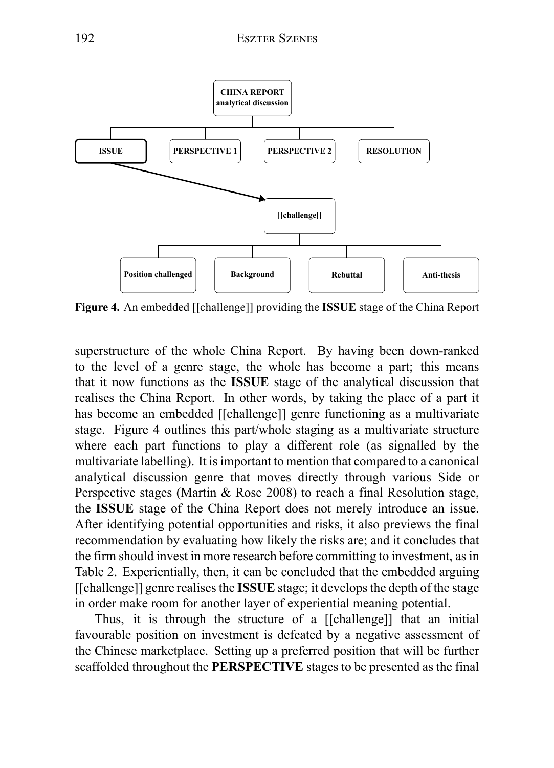

**Figure 4.** An embedded [[challenge]] providing the **ISSUE** stage of the China Report

superstructure of the whole China Report. By having been down-ranked to the level of a genre stage, the whole has become a part; this means that it now functions as the **ISSUE** stage of the analytical discussion that realises the China Report. In other words, by taking the place of a part it has become an embedded [[challenge]] genre functioning as a multivariate stage. Figure 4 outlines this part/whole staging as a multivariate structure where each part functions to play a different role (as signalled by the multivariate labelling). It is important to mention that compared to a canonical analytical discussion genre that moves directly through various Side or Perspective stages (Martin & Rose 2008) to reach a final Resolution stage, the **ISSUE** stage of the China Report does not merely introduce an issue. After identifying potential opportunities and risks, it also previews the final recommendation by evaluating how likely the risks are; and it concludes that the firm should invest in more research before committing to investment, as in Table 2. Experientially, then, it can be concluded that the embedded arguing [[challenge]] genre realises the **ISSUE** stage; it develops the depth of the stage in order make room for another layer of experiential meaning potential.

Thus, it is through the structure of a [[challenge]] that an initial favourable position on investment is defeated by a negative assessment of the Chinese marketplace. Setting up a preferred position that will be further scaffolded throughout the **PERSPECTIVE** stages to be presented as the final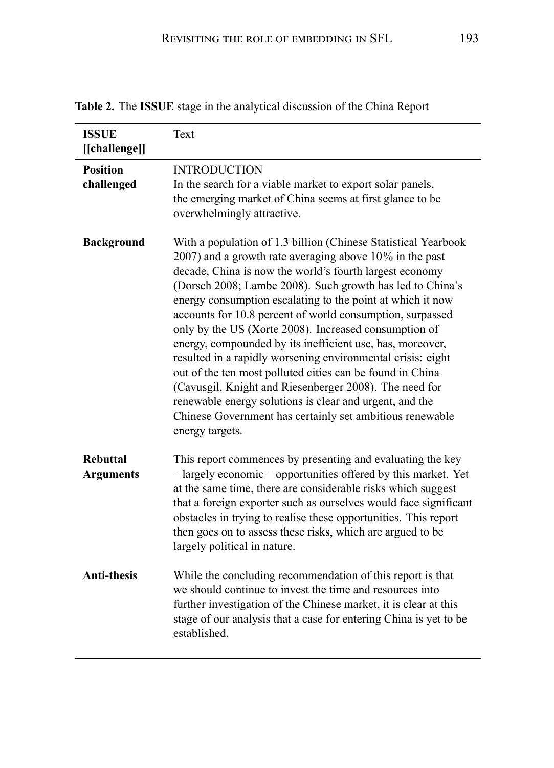| <b>ISSUE</b><br>[[challenge]]       | Text                                                                                                                                                                                                                                                                                                                                                                                                                                                                                                                                                                                                                                                                                                                                                                                                                               |
|-------------------------------------|------------------------------------------------------------------------------------------------------------------------------------------------------------------------------------------------------------------------------------------------------------------------------------------------------------------------------------------------------------------------------------------------------------------------------------------------------------------------------------------------------------------------------------------------------------------------------------------------------------------------------------------------------------------------------------------------------------------------------------------------------------------------------------------------------------------------------------|
| <b>Position</b><br>challenged       | <b>INTRODUCTION</b><br>In the search for a viable market to export solar panels,<br>the emerging market of China seems at first glance to be<br>overwhelmingly attractive.                                                                                                                                                                                                                                                                                                                                                                                                                                                                                                                                                                                                                                                         |
| <b>Background</b>                   | With a population of 1.3 billion (Chinese Statistical Yearbook<br>2007) and a growth rate averaging above 10% in the past<br>decade, China is now the world's fourth largest economy<br>(Dorsch 2008; Lambe 2008). Such growth has led to China's<br>energy consumption escalating to the point at which it now<br>accounts for 10.8 percent of world consumption, surpassed<br>only by the US (Xorte 2008). Increased consumption of<br>energy, compounded by its inefficient use, has, moreover,<br>resulted in a rapidly worsening environmental crisis: eight<br>out of the ten most polluted cities can be found in China<br>(Cavusgil, Knight and Riesenberger 2008). The need for<br>renewable energy solutions is clear and urgent, and the<br>Chinese Government has certainly set ambitious renewable<br>energy targets. |
| <b>Rebuttal</b><br><b>Arguments</b> | This report commences by presenting and evaluating the key<br>- largely economic - opportunities offered by this market. Yet<br>at the same time, there are considerable risks which suggest<br>that a foreign exporter such as ourselves would face significant<br>obstacles in trying to realise these opportunities. This report<br>then goes on to assess these risks, which are argued to be<br>largely political in nature.                                                                                                                                                                                                                                                                                                                                                                                                  |
| <b>Anti-thesis</b>                  | While the concluding recommendation of this report is that<br>we should continue to invest the time and resources into<br>further investigation of the Chinese market, it is clear at this<br>stage of our analysis that a case for entering China is yet to be<br>established.                                                                                                                                                                                                                                                                                                                                                                                                                                                                                                                                                    |

**Table 2.** The **ISSUE** stage in the analytical discussion of the China Report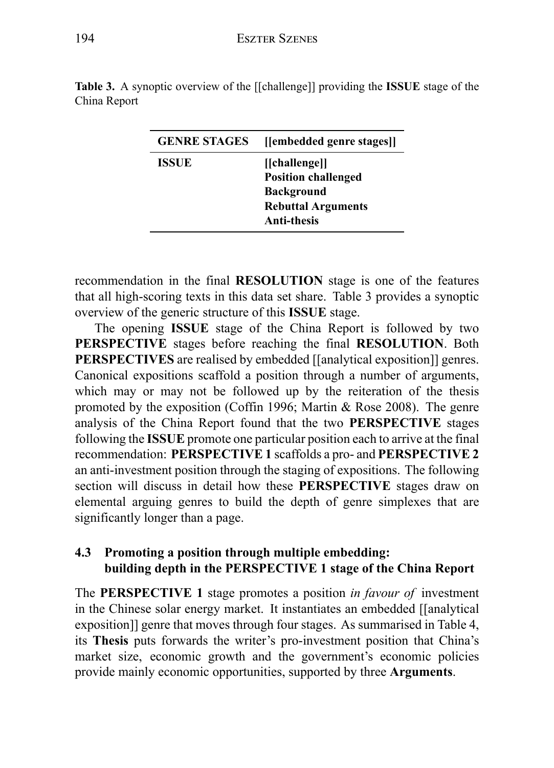| <b>GENRE STAGES</b> | [[embedded genre stages]]                                                                                           |
|---------------------|---------------------------------------------------------------------------------------------------------------------|
| ISSUE               | [[challenge]]<br><b>Position challenged</b><br><b>Background</b><br><b>Rebuttal Arguments</b><br><b>Anti-thesis</b> |

**Table 3.** A synoptic overview of the [[challenge]] providing the **ISSUE** stage of the China Report

recommendation in the final **RESOLUTION** stage is one of the features that all high-scoring texts in this data set share. Table 3 provides a synoptic overview of the generic structure of this **ISSUE** stage.

The opening **ISSUE** stage of the China Report is followed by two **PERSPECTIVE** stages before reaching the final **RESOLUTION**. Both **PERSPECTIVES** are realised by embedded [[analytical exposition]] genres. Canonical expositions scaffold a position through a number of arguments, which may or may not be followed up by the reiteration of the thesis promoted by the exposition (Coffin 1996; Martin & Rose 2008). The genre analysis of the China Report found that the two **PERSPECTIVE** stages following the **ISSUE** promote one particular position each to arrive at the final recommendation: **PERSPECTIVE 1** scaffolds a pro- and **PERSPECTIVE 2** an anti-investment position through the staging of expositions. The following section will discuss in detail how these **PERSPECTIVE** stages draw on elemental arguing genres to build the depth of genre simplexes that are significantly longer than a page.

## **4.3 Promoting a position through multiple embedding: building depth in the PERSPECTIVE 1 stage of the China Report**

The **PERSPECTIVE 1** stage promotes a position *in favour of* investment in the Chinese solar energy market. It instantiates an embedded [[analytical exposition]] genre that moves through four stages. As summarised in Table 4, its **Thesis** puts forwards the writer's pro-investment position that China's market size, economic growth and the government's economic policies provide mainly economic opportunities, supported by three **Arguments**.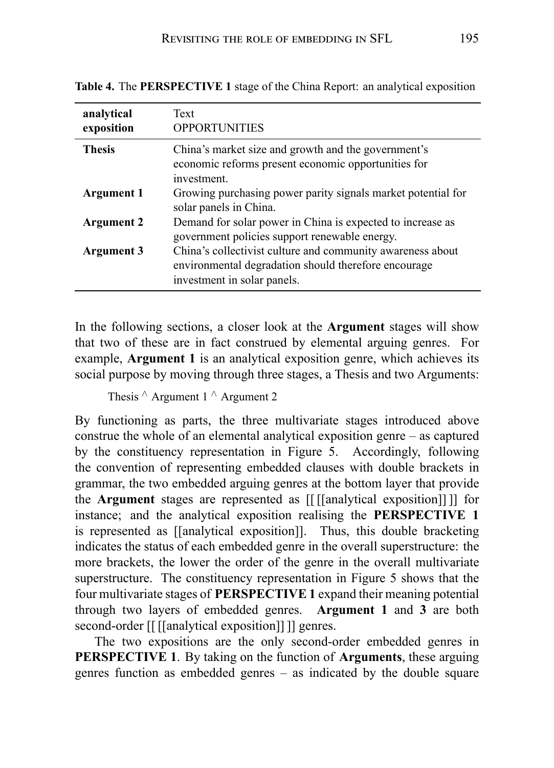| analytical<br>exposition | Text<br><b>OPPORTUNITIES</b>                                                                                                                      |
|--------------------------|---------------------------------------------------------------------------------------------------------------------------------------------------|
| <b>Thesis</b>            | China's market size and growth and the government's<br>economic reforms present economic opportunities for<br>investment.                         |
| <b>Argument 1</b>        | Growing purchasing power parity signals market potential for<br>solar panels in China.                                                            |
| <b>Argument 2</b>        | Demand for solar power in China is expected to increase as<br>government policies support renewable energy.                                       |
| Argument 3               | China's collectivist culture and community awareness about<br>environmental degradation should therefore encourage<br>investment in solar panels. |

**Table 4.** The **PERSPECTIVE 1** stage of the China Report: an analytical exposition

In the following sections, a closer look at the **Argument** stages will show that two of these are in fact construed by elemental arguing genres. For example, **Argument 1** is an analytical exposition genre, which achieves its social purpose by moving through three stages, a Thesis and two Arguments:

```
Thesis ∧ Argument 1 ∧ Argument 2
```
By functioning as parts, the three multivariate stages introduced above construe the whole of an elemental analytical exposition genre – as captured by the constituency representation in Figure 5. Accordingly, following the convention of representing embedded clauses with double brackets in grammar, the two embedded arguing genres at the bottom layer that provide the **Argument** stages are represented as [[ [[analytical exposition]] ]] for instance; and the analytical exposition realising the **PERSPECTIVE 1** is represented as [[analytical exposition]]. Thus, this double bracketing indicates the status of each embedded genre in the overall superstructure: the more brackets, the lower the order of the genre in the overall multivariate superstructure. The constituency representation in Figure 5 shows that the four multivariate stages of **PERSPECTIVE 1** expand their meaning potential through two layers of embedded genres. **Argument 1** and **3** are both second-order [[ [[analytical exposition]] ]] genres.

The two expositions are the only second-order embedded genres in **PERSPECTIVE 1**. By taking on the function of **Arguments**, these arguing genres function as embedded genres – as indicated by the double square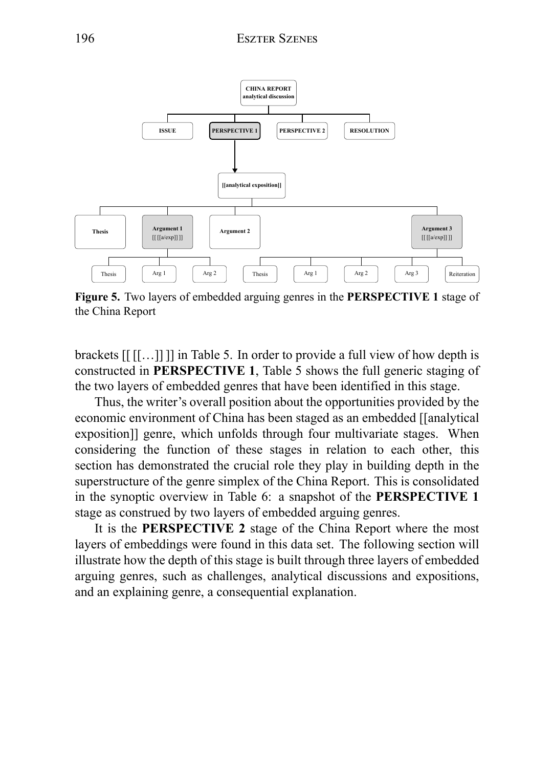

**Figure 5.** Two layers of embedded arguing genres in the **PERSPECTIVE 1** stage of the China Report

brackets [[ [[…]] ]] in Table 5. In order to provide a full view of how depth is constructed in **PERSPECTIVE 1**, Table 5 shows the full generic staging of the two layers of embedded genres that have been identified in this stage.

Thus, the writer's overall position about the opportunities provided by the economic environment of China has been staged as an embedded [[analytical exposition]] genre, which unfolds through four multivariate stages. When considering the function of these stages in relation to each other, this section has demonstrated the crucial role they play in building depth in the superstructure of the genre simplex of the China Report. This is consolidated in the synoptic overview in Table 6: a snapshot of the **PERSPECTIVE 1** stage as construed by two layers of embedded arguing genres.

It is the **PERSPECTIVE 2** stage of the China Report where the most layers of embeddings were found in this data set. The following section will illustrate how the depth of this stage is built through three layers of embedded arguing genres, such as challenges, analytical discussions and expositions, and an explaining genre, a consequential explanation.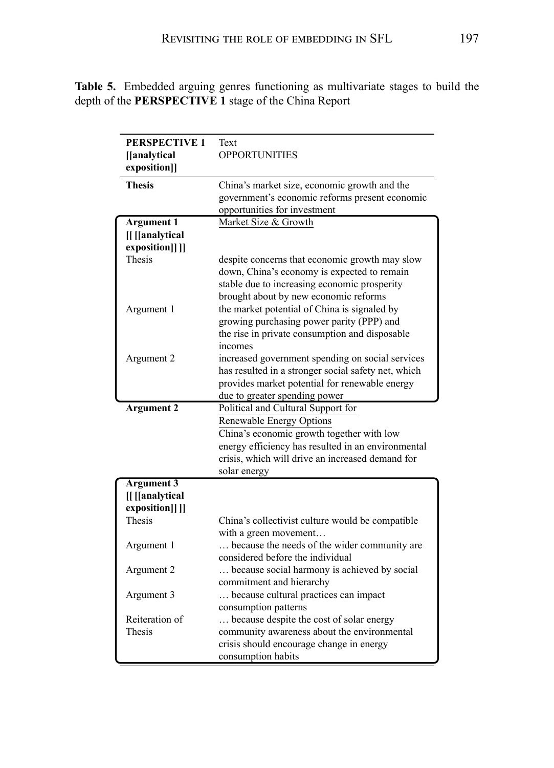| <b>PERSPECTIVE 1</b><br>[[analytical<br>exposition]] | Text<br><b>OPPORTUNITIES</b>                                                   |
|------------------------------------------------------|--------------------------------------------------------------------------------|
| <b>Thesis</b>                                        | China's market size, economic growth and the                                   |
|                                                      | government's economic reforms present economic<br>opportunities for investment |
| <b>Argument 1</b>                                    | Market Size & Growth                                                           |
| <b>II</b> IIanalytical                               |                                                                                |
| exposition]] ]]                                      |                                                                                |
| Thesis                                               | despite concerns that economic growth may slow                                 |
|                                                      | down, China's economy is expected to remain                                    |
|                                                      | stable due to increasing economic prosperity                                   |
|                                                      | brought about by new economic reforms                                          |
| Argument 1                                           | the market potential of China is signaled by                                   |
|                                                      | growing purchasing power parity (PPP) and                                      |
|                                                      | the rise in private consumption and disposable                                 |
|                                                      | incomes<br>increased government spending on social services                    |
| Argument 2                                           | has resulted in a stronger social safety net, which                            |
|                                                      | provides market potential for renewable energy                                 |
|                                                      | due to greater spending power                                                  |
| <b>Argument 2</b>                                    | Political and Cultural Support for                                             |
|                                                      | Renewable Energy Options                                                       |
|                                                      | China's economic growth together with low                                      |
|                                                      | energy efficiency has resulted in an environmental                             |
|                                                      | crisis, which will drive an increased demand for                               |
|                                                      | solar energy                                                                   |
| <b>Argument 3</b>                                    |                                                                                |
| [[[[analytical                                       |                                                                                |
| exposition]] ]]                                      |                                                                                |
| <b>Thesis</b>                                        | China's collectivist culture would be compatible                               |
|                                                      | with a green movement<br>because the needs of the wider community are          |
| Argument 1                                           | considered before the individual                                               |
| Argument 2                                           | because social harmony is achieved by social                                   |
|                                                      | commitment and hierarchy                                                       |
| Argument 3                                           | because cultural practices can impact                                          |
|                                                      | consumption patterns                                                           |
| Reiteration of                                       | because despite the cost of solar energy                                       |
| Thesis                                               | community awareness about the environmental                                    |
|                                                      | crisis should encourage change in energy                                       |
|                                                      | consumption habits                                                             |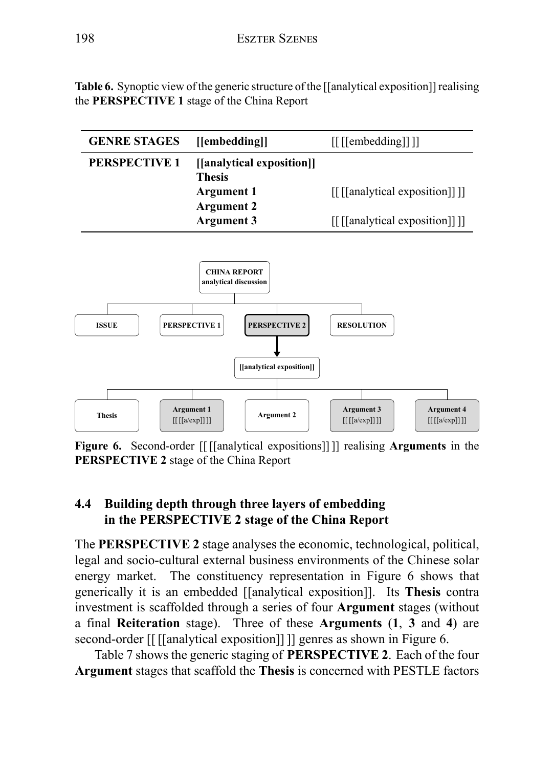**Table 6.** Synoptic view of the generic structure of the [[analytical exposition]] realising the **PERSPECTIVE 1** stage of the China Report



**Figure 6.** Second-order [[ [[analytical expositions]] ]] realising **Arguments** in the **PERSPECTIVE 2** stage of the China Report

## **4.4 Building depth through three layers of embedding in the PERSPECTIVE 2 stage of the China Report**

The **PERSPECTIVE 2** stage analyses the economic, technological, political, legal and socio-cultural external business environments of the Chinese solar energy market. The constituency representation in Figure 6 shows that generically it is an embedded [[analytical exposition]]. Its **Thesis** contra investment is scaffolded through a series of four **Argument** stages (without a final **Reiteration** stage). Three of these **Arguments** (**1**, **3** and **4**) are second-order [[ [[analytical exposition]] ]] genres as shown in Figure 6.

Table 7 shows the generic staging of **PERSPECTIVE 2**. Each of the four **Argument** stages that scaffold the **Thesis** is concerned with PESTLE factors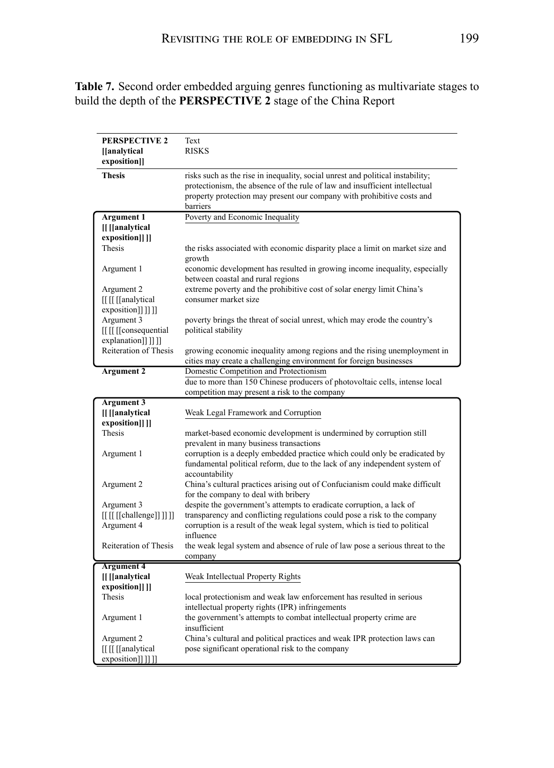**Table 7.** Second order embedded arguing genres functioning as multivariate stages to build the depth of the **PERSPECTIVE 2** stage of the China Report

| <b>PERSPECTIVE 2</b><br>[[analytical | Text<br><b>RISKS</b>                                                                                         |
|--------------------------------------|--------------------------------------------------------------------------------------------------------------|
| exposition]]                         |                                                                                                              |
| <b>Thesis</b>                        | risks such as the rise in inequality, social unrest and political instability;                               |
|                                      | protectionism, the absence of the rule of law and insufficient intellectual                                  |
|                                      | property protection may present our company with prohibitive costs and                                       |
| <b>Argument 1</b>                    | barriers<br>Poverty and Economic Inequality                                                                  |
| [[ [[analytical                      |                                                                                                              |
| exposition[]]                        |                                                                                                              |
| Thesis                               | the risks associated with economic disparity place a limit on market size and                                |
|                                      | growth                                                                                                       |
| Argument 1                           | economic development has resulted in growing income inequality, especially                                   |
|                                      | between coastal and rural regions                                                                            |
| Argument 2                           | extreme poverty and the prohibitive cost of solar energy limit China's                                       |
| [[[[[[analytical                     | consumer market size                                                                                         |
| exposition]]]]]                      |                                                                                                              |
| Argument 3                           | poverty brings the threat of social unrest, which may erode the country's                                    |
| [[[[[consequential]                  | political stability                                                                                          |
| explanation]]]]]                     |                                                                                                              |
| Reiteration of Thesis                | growing economic inequality among regions and the rising unemployment in                                     |
| <b>Argument 2</b>                    | cities may create a challenging environment for foreign businesses<br>Domestic Competition and Protectionism |
|                                      | due to more than 150 Chinese producers of photovoltaic cells, intense local                                  |
|                                      | competition may present a risk to the company                                                                |
|                                      |                                                                                                              |
|                                      |                                                                                                              |
| Argument 3                           | Weak Legal Framework and Corruption                                                                          |
| [[ [[analytical<br>exposition]] ]]   |                                                                                                              |
| <b>Thesis</b>                        | market-based economic development is undermined by corruption still                                          |
|                                      | prevalent in many business transactions                                                                      |
| Argument 1                           | corruption is a deeply embedded practice which could only be eradicated by                                   |
|                                      | fundamental political reform, due to the lack of any independent system of                                   |
|                                      | accountability                                                                                               |
| Argument 2                           | China's cultural practices arising out of Confucianism could make difficult                                  |
|                                      | for the company to deal with bribery                                                                         |
| Argument 3                           | despite the government's attempts to eradicate corruption, a lack of                                         |
| [[[[[[challenge]]]]]]                | transparency and conflicting regulations could pose a risk to the company                                    |
| Argument 4                           | corruption is a result of the weak legal system, which is tied to political                                  |
|                                      | influence                                                                                                    |
| Reiteration of Thesis                | the weak legal system and absence of rule of law pose a serious threat to the<br>company                     |
| <b>Argument 4</b>                    |                                                                                                              |
| [[ [[analytical                      | Weak Intellectual Property Rights                                                                            |
| exposition]]]                        |                                                                                                              |
| Thesis                               | local protectionism and weak law enforcement has resulted in serious                                         |
|                                      | intellectual property rights (IPR) infringements                                                             |
| Argument 1                           | the government's attempts to combat intellectual property crime are                                          |
|                                      | insufficient                                                                                                 |
| Argument 2                           | China's cultural and political practices and weak IPR protection laws can                                    |
| [[[[[[analytical<br>exposition]]]]]  | pose significant operational risk to the company                                                             |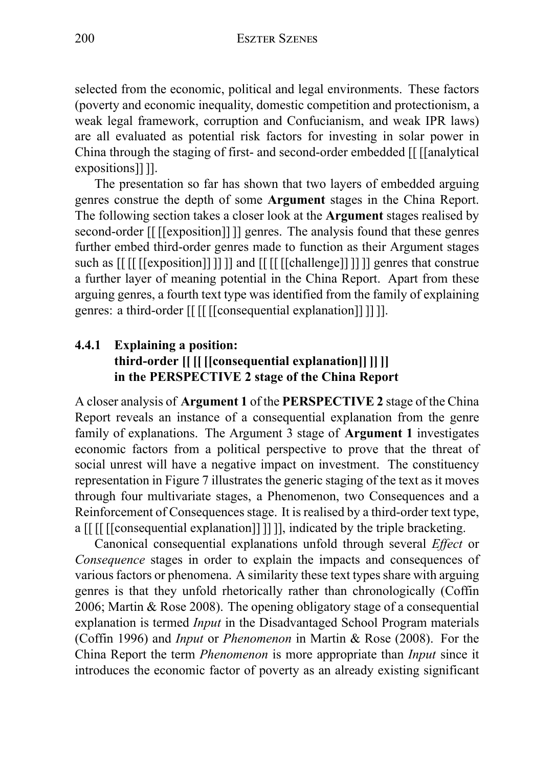selected from the economic, political and legal environments. These factors (poverty and economic inequality, domestic competition and protectionism, a weak legal framework, corruption and Confucianism, and weak IPR laws) are all evaluated as potential risk factors for investing in solar power in China through the staging of first- and second-order embedded [[ [[analytical expositions]] ]].

The presentation so far has shown that two layers of embedded arguing genres construe the depth of some **Argument** stages in the China Report. The following section takes a closer look at the **Argument** stages realised by second-order [[ [[exposition]] ]] genres. The analysis found that these genres further embed third-order genres made to function as their Argument stages such as [[ [[ [[exposition]] ]] ]] and [[ [[ [[challenge]] ]] ]] genres that construe a further layer of meaning potential in the China Report. Apart from these arguing genres, a fourth text type was identified from the family of explaining genres: a third-order [[ [[ [[consequential explanation]] ]] ]].

## **4.4.1 Explaining a position: third-order [[ [[ [[consequential explanation]] ]] ]] in the PERSPECTIVE 2 stage of the China Report**

A closer analysis of **Argument 1** of the **PERSPECTIVE 2** stage of the China Report reveals an instance of a consequential explanation from the genre family of explanations. The Argument 3 stage of **Argument 1** investigates economic factors from a political perspective to prove that the threat of social unrest will have a negative impact on investment. The constituency representation in Figure 7 illustrates the generic staging of the text as it moves through four multivariate stages, a Phenomenon, two Consequences and a Reinforcement of Consequences stage. It is realised by a third-order text type, a [[ [[ [[consequential explanation]] ]] ]], indicated by the triple bracketing.

Canonical consequential explanations unfold through several *Effect* or *Consequence* stages in order to explain the impacts and consequences of various factors or phenomena. A similarity these text types share with arguing genres is that they unfold rhetorically rather than chronologically (Coffin 2006; Martin & Rose 2008). The opening obligatory stage of a consequential explanation is termed *Input* in the Disadvantaged School Program materials (Coffin 1996) and *Input* or *Phenomenon* in Martin & Rose (2008). For the China Report the term *Phenomenon* is more appropriate than *Input* since it introduces the economic factor of poverty as an already existing significant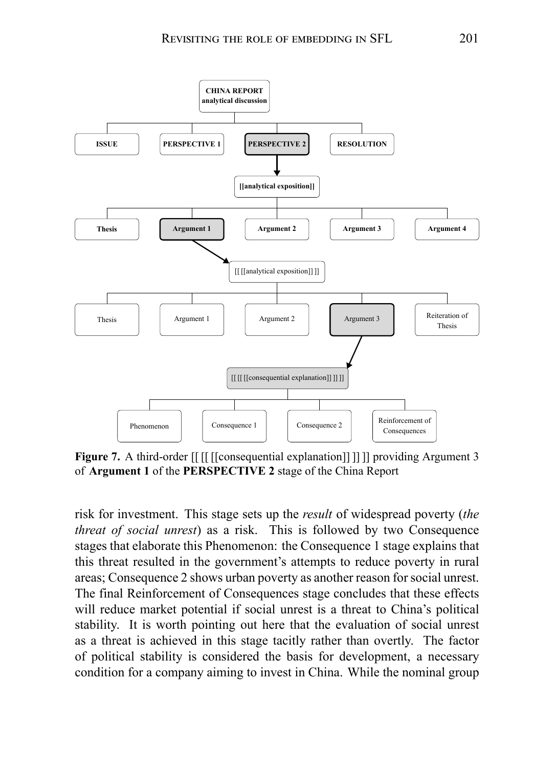

**Figure 7.** A third-order  $[[ [[ [[cossequential explanation]]]]]]$  providing Argument 3 of **Argument 1** of the **PERSPECTIVE 2** stage of the China Report

risk for investment. This stage sets up the *result* of widespread poverty (*the threat of social unrest*) as a risk. This is followed by two Consequence stages that elaborate this Phenomenon: the Consequence 1 stage explains that this threat resulted in the government's attempts to reduce poverty in rural areas; Consequence 2 shows urban poverty as another reason for social unrest. The final Reinforcement of Consequences stage concludes that these effects will reduce market potential if social unrest is a threat to China's political stability. It is worth pointing out here that the evaluation of social unrest as a threat is achieved in this stage tacitly rather than overtly. The factor of political stability is considered the basis for development, a necessary condition for a company aiming to invest in China. While the nominal group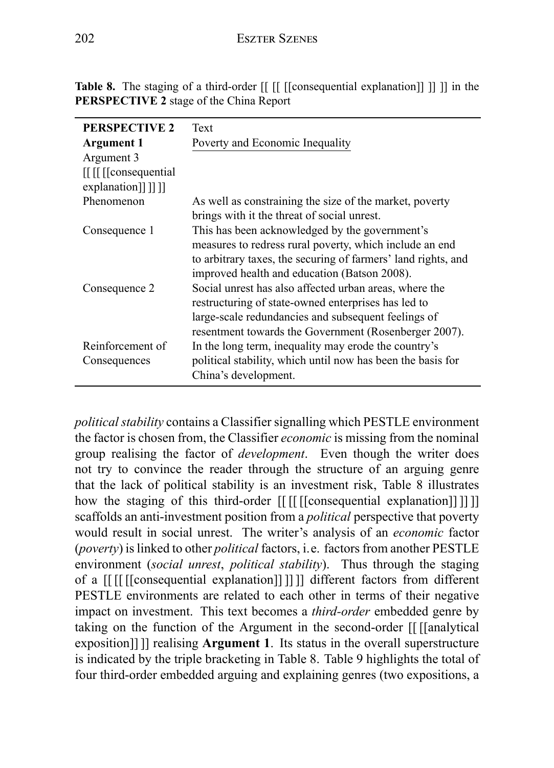| <b>PERSPECTIVE 2</b>   | Text                                                          |
|------------------------|---------------------------------------------------------------|
| Argument 1             | Poverty and Economic Inequality                               |
| Argument 3             |                                                               |
| [[ [[ [[ consequential |                                                               |
| explanation]]]]]       |                                                               |
| Phenomenon             | As well as constraining the size of the market, poverty       |
|                        | brings with it the threat of social unrest.                   |
| Consequence 1          | This has been acknowledged by the government's                |
|                        | measures to redress rural poverty, which include an end       |
|                        | to arbitrary taxes, the securing of farmers' land rights, and |
|                        | improved health and education (Batson 2008).                  |
| Consequence 2          | Social unrest has also affected urban areas, where the        |
|                        | restructuring of state-owned enterprises has led to           |
|                        | large-scale redundancies and subsequent feelings of           |
|                        | resentment towards the Government (Rosenberger 2007).         |
| Reinforcement of       | In the long term, inequality may erode the country's          |
| Consequences           | political stability, which until now has been the basis for   |
|                        | China's development.                                          |

**Table 8.** The staging of a third-order  $\left[ \right]$   $\left[ \right]$   $\left[ \left[ \right]$  consequential explanation $\left[ \right]$   $\left[ \right]$   $\left[ \right]$  in the **PERSPECTIVE 2** stage of the China Report

*political stability* contains a Classifier signalling which PESTLE environment the factor is chosen from, the Classifier *economic* is missing from the nominal group realising the factor of *development*. Even though the writer does not try to convince the reader through the structure of an arguing genre that the lack of political stability is an investment risk, Table 8 illustrates how the staging of this third-order [[ [[ [[ [[ consequential explanation]] ]] ]] scaffolds an anti-investment position from a *political* perspective that poverty would result in social unrest. The writer's analysis of an *economic* factor (*poverty*) is linked to other *political* factors, i.e. factors from another PESTLE environment (*social unrest*, *political stability*). Thus through the staging of a [[ [[ [[consequential explanation]] ]] ]] different factors from different PESTLE environments are related to each other in terms of their negative impact on investment. This text becomes a *third-order* embedded genre by taking on the function of the Argument in the second-order [[ [[analytical exposition]] ]] realising **Argument 1**. Its status in the overall superstructure is indicated by the triple bracketing in Table 8. Table 9 highlights the total of four third-order embedded arguing and explaining genres (two expositions, a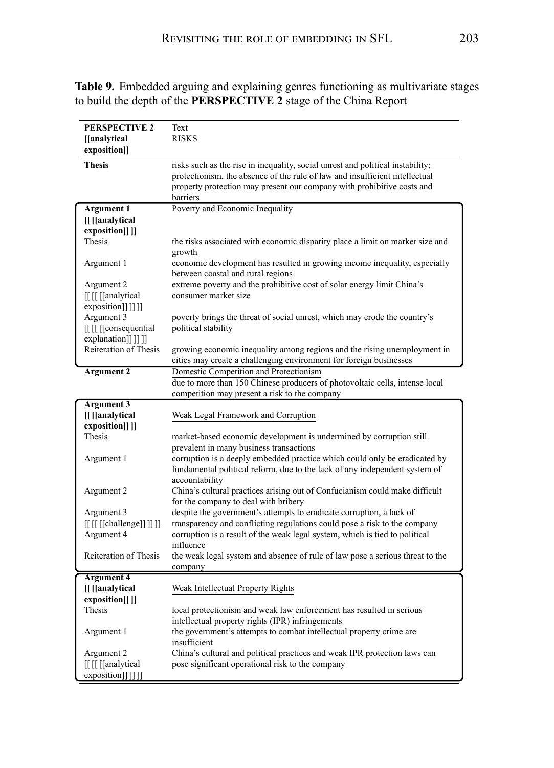|                                                                                                          | Text                                                                                                                                                                                                                                                                                                                                             |
|----------------------------------------------------------------------------------------------------------|--------------------------------------------------------------------------------------------------------------------------------------------------------------------------------------------------------------------------------------------------------------------------------------------------------------------------------------------------|
| <b>PERSPECTIVE 2</b><br>[[analytical]                                                                    | <b>RISKS</b>                                                                                                                                                                                                                                                                                                                                     |
| exposition]]                                                                                             |                                                                                                                                                                                                                                                                                                                                                  |
| <b>Thesis</b>                                                                                            | risks such as the rise in inequality, social unrest and political instability;                                                                                                                                                                                                                                                                   |
|                                                                                                          | protectionism, the absence of the rule of law and insufficient intellectual                                                                                                                                                                                                                                                                      |
|                                                                                                          | property protection may present our company with prohibitive costs and                                                                                                                                                                                                                                                                           |
|                                                                                                          | barriers                                                                                                                                                                                                                                                                                                                                         |
| Argument 1                                                                                               | Poverty and Economic Inequality                                                                                                                                                                                                                                                                                                                  |
| [[ [[analytical                                                                                          |                                                                                                                                                                                                                                                                                                                                                  |
| exposition]] ]]                                                                                          |                                                                                                                                                                                                                                                                                                                                                  |
| Thesis                                                                                                   | the risks associated with economic disparity place a limit on market size and                                                                                                                                                                                                                                                                    |
|                                                                                                          | growth                                                                                                                                                                                                                                                                                                                                           |
| Argument 1                                                                                               | economic development has resulted in growing income inequality, especially                                                                                                                                                                                                                                                                       |
|                                                                                                          | between coastal and rural regions                                                                                                                                                                                                                                                                                                                |
| Argument 2                                                                                               | extreme poverty and the prohibitive cost of solar energy limit China's                                                                                                                                                                                                                                                                           |
| [[ [[ [[analytical]                                                                                      | consumer market size                                                                                                                                                                                                                                                                                                                             |
| exposition]]]]]                                                                                          |                                                                                                                                                                                                                                                                                                                                                  |
| Argument 3                                                                                               | poverty brings the threat of social unrest, which may erode the country's                                                                                                                                                                                                                                                                        |
| II II IIconsequential                                                                                    | political stability                                                                                                                                                                                                                                                                                                                              |
| explanation]]]]]                                                                                         |                                                                                                                                                                                                                                                                                                                                                  |
| Reiteration of Thesis                                                                                    | growing economic inequality among regions and the rising unemployment in                                                                                                                                                                                                                                                                         |
|                                                                                                          | cities may create a challenging environment for foreign businesses                                                                                                                                                                                                                                                                               |
| <b>Argument 2</b>                                                                                        | Domestic Competition and Protectionism                                                                                                                                                                                                                                                                                                           |
|                                                                                                          | due to more than 150 Chinese producers of photovoltaic cells, intense local                                                                                                                                                                                                                                                                      |
|                                                                                                          | competition may present a risk to the company                                                                                                                                                                                                                                                                                                    |
| <b>Argument 3</b><br>[[ [[analytical                                                                     | Weak Legal Framework and Corruption                                                                                                                                                                                                                                                                                                              |
| exposition]] ]]                                                                                          |                                                                                                                                                                                                                                                                                                                                                  |
| Thesis                                                                                                   | market-based economic development is undermined by corruption still                                                                                                                                                                                                                                                                              |
|                                                                                                          | prevalent in many business transactions                                                                                                                                                                                                                                                                                                          |
| Argument 1                                                                                               | corruption is a deeply embedded practice which could only be eradicated by                                                                                                                                                                                                                                                                       |
|                                                                                                          | fundamental political reform, due to the lack of any independent system of                                                                                                                                                                                                                                                                       |
|                                                                                                          | accountability                                                                                                                                                                                                                                                                                                                                   |
| Argument 2                                                                                               | China's cultural practices arising out of Confucianism could make difficult                                                                                                                                                                                                                                                                      |
|                                                                                                          | for the company to deal with bribery                                                                                                                                                                                                                                                                                                             |
| Argument 3                                                                                               | despite the government's attempts to eradicate corruption, a lack of                                                                                                                                                                                                                                                                             |
| $\left[\left[\right][\left[\text{[challenge]} \right]]\right]\right]$                                    | transparency and conflicting regulations could pose a risk to the company                                                                                                                                                                                                                                                                        |
| Argument 4                                                                                               | corruption is a result of the weak legal system, which is tied to political                                                                                                                                                                                                                                                                      |
|                                                                                                          | influence                                                                                                                                                                                                                                                                                                                                        |
|                                                                                                          |                                                                                                                                                                                                                                                                                                                                                  |
|                                                                                                          |                                                                                                                                                                                                                                                                                                                                                  |
|                                                                                                          |                                                                                                                                                                                                                                                                                                                                                  |
|                                                                                                          |                                                                                                                                                                                                                                                                                                                                                  |
|                                                                                                          |                                                                                                                                                                                                                                                                                                                                                  |
|                                                                                                          |                                                                                                                                                                                                                                                                                                                                                  |
|                                                                                                          |                                                                                                                                                                                                                                                                                                                                                  |
|                                                                                                          |                                                                                                                                                                                                                                                                                                                                                  |
| Argument 2                                                                                               | China's cultural and political practices and weak IPR protection laws can                                                                                                                                                                                                                                                                        |
| [[ [[ [[analytical]                                                                                      | pose significant operational risk to the company                                                                                                                                                                                                                                                                                                 |
| exposition]]]]]                                                                                          |                                                                                                                                                                                                                                                                                                                                                  |
| Reiteration of Thesis<br><b>Argument 4</b><br>[[ [[analytical<br>exposition]] ]]<br>Thesis<br>Argument 1 | the weak legal system and absence of rule of law pose a serious threat to the<br>company<br>Weak Intellectual Property Rights<br>local protectionism and weak law enforcement has resulted in serious<br>intellectual property rights (IPR) infringements<br>the government's attempts to combat intellectual property crime are<br>insufficient |

**Table 9.** Embedded arguing and explaining genres functioning as multivariate stages to build the depth of the **PERSPECTIVE 2** stage of the China Report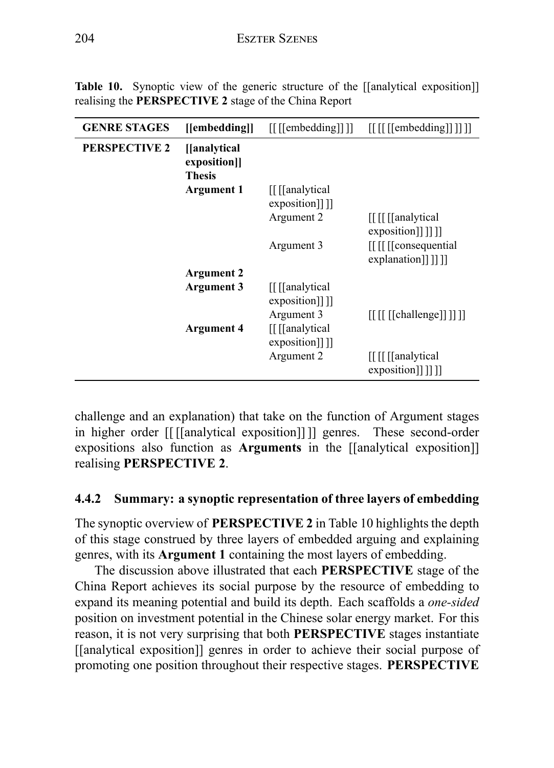| <b>GENRE STAGES</b>  | [[embedding]]                                  | $\left[\left[\right]\left[\right]$ [ $\left[\right]$ [ $\left[\right]$ $\left[\right]$ ] $\left[\right]$ | $\left[\left[\right]\right]\left[\left[\right]$ [[embedding]]]]]                                                                                           |
|----------------------|------------------------------------------------|----------------------------------------------------------------------------------------------------------|------------------------------------------------------------------------------------------------------------------------------------------------------------|
| <b>PERSPECTIVE 2</b> | [[analytical]<br>exposition]]<br><b>Thesis</b> |                                                                                                          |                                                                                                                                                            |
|                      | <b>Argument 1</b>                              | [[[analytical]<br>$exposition$ [1]                                                                       |                                                                                                                                                            |
|                      |                                                | Argument 2                                                                                               | [[I[[analytical]<br>$exposition$ [1]]]                                                                                                                     |
|                      |                                                | Argument 3                                                                                               | [[I] [[consequential]<br>explanation]]]]]                                                                                                                  |
|                      | <b>Argument 2</b>                              |                                                                                                          |                                                                                                                                                            |
|                      | Argument 3                                     | [[[analytical]<br>exposition]]]                                                                          |                                                                                                                                                            |
|                      | <b>Argument 4</b>                              | Argument 3<br>[[[analytical]<br>exposition]]]                                                            | $\left[\begin{array}{cc} \left[ \left[ \begin{array}{ c c} \left[ \left[ \text{Challenge} \right] \right] \end{array} \right] \right] \end{array} \right]$ |
|                      |                                                | Argument 2                                                                                               | [[[[[analytical]<br>exposition]]]]]                                                                                                                        |

**Table 10.** Synoptic view of the generic structure of the [[analytical exposition]] realising the **PERSPECTIVE 2** stage of the China Report

challenge and an explanation) that take on the function of Argument stages in higher order [[ [[analytical exposition]] ]] genres. These second-order expositions also function as **Arguments** in the [[analytical exposition]] realising **PERSPECTIVE 2**.

#### **4.4.2 Summary: a synoptic representation of three layers of embedding**

The synoptic overview of **PERSPECTIVE 2** in Table 10 highlights the depth of this stage construed by three layers of embedded arguing and explaining genres, with its **Argument 1** containing the most layers of embedding.

The discussion above illustrated that each **PERSPECTIVE** stage of the China Report achieves its social purpose by the resource of embedding to expand its meaning potential and build its depth. Each scaffolds a *one-sided* position on investment potential in the Chinese solar energy market. For this reason, it is not very surprising that both **PERSPECTIVE** stages instantiate [[analytical exposition]] genres in order to achieve their social purpose of promoting one position throughout their respective stages. **PERSPECTIVE**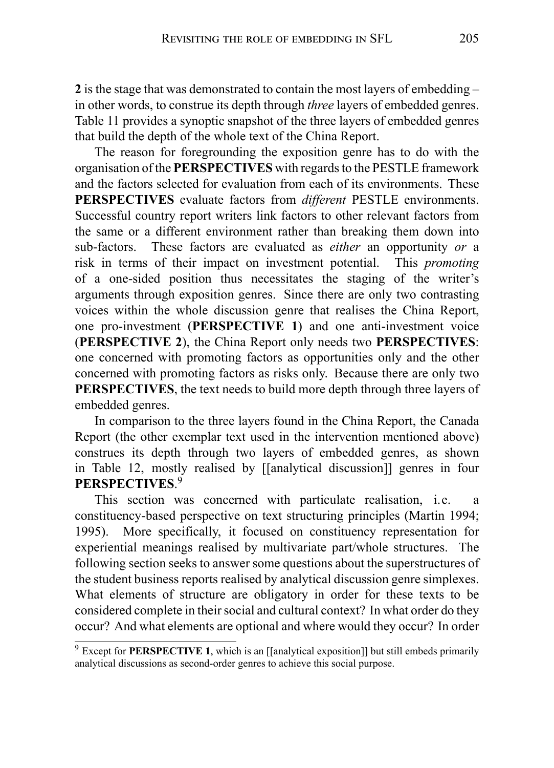**2** is the stage that was demonstrated to contain the most layers of embedding – in other words, to construe its depth through *three* layers of embedded genres. Table 11 provides a synoptic snapshot of the three layers of embedded genres that build the depth of the whole text of the China Report.

The reason for foregrounding the exposition genre has to do with the organisation of the **PERSPECTIVES** with regards to the PESTLE framework and the factors selected for evaluation from each of its environments. These **PERSPECTIVES** evaluate factors from *different* PESTLE environments. Successful country report writers link factors to other relevant factors from the same or a different environment rather than breaking them down into sub-factors. These factors are evaluated as *either* an opportunity *or* a risk in terms of their impact on investment potential. This *promoting* of a one-sided position thus necessitates the staging of the writer's arguments through exposition genres. Since there are only two contrasting voices within the whole discussion genre that realises the China Report, one pro-investment (**PERSPECTIVE 1**) and one anti-investment voice (**PERSPECTIVE 2**), the China Report only needs two **PERSPECTIVES**: one concerned with promoting factors as opportunities only and the other concerned with promoting factors as risks only. Because there are only two **PERSPECTIVES**, the text needs to build more depth through three layers of embedded genres.

In comparison to the three layers found in the China Report, the Canada Report (the other exemplar text used in the intervention mentioned above) construes its depth through two layers of embedded genres, as shown in Table 12, mostly realised by [[analytical discussion]] genres in four **PERSPECTIVES**. 9

This section was concerned with particulate realisation, i.e. a constituency-based perspective on text structuring principles (Martin 1994; 1995). More specifically, it focused on constituency representation for experiential meanings realised by multivariate part/whole structures. The following section seeks to answer some questions about the superstructures of the student business reports realised by analytical discussion genre simplexes. What elements of structure are obligatory in order for these texts to be considered complete in their social and cultural context? In what order do they occur? And what elements are optional and where would they occur? In order

<sup>9</sup> Except for **PERSPECTIVE 1**, which is an [[analytical exposition]] but still embeds primarily analytical discussions as second-order genres to achieve this social purpose.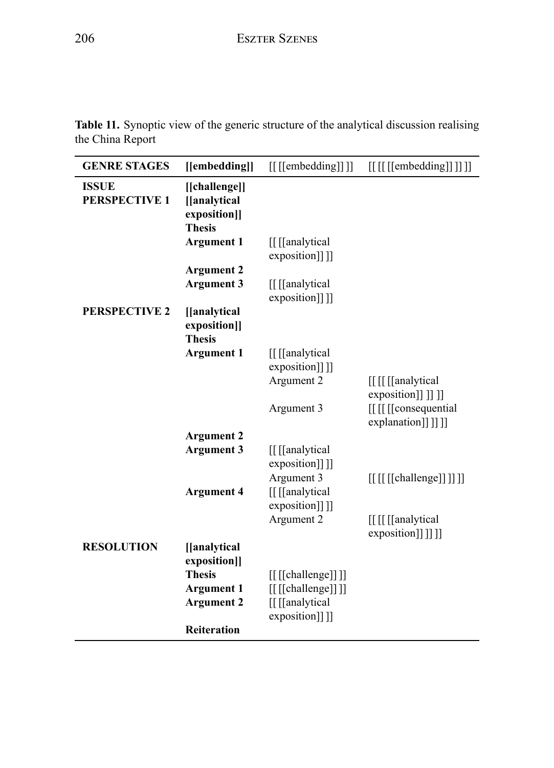**Table 11.** Synoptic view of the generic structure of the analytical discussion realising the China Report

| <b>GENRE STAGES</b>                  | [[embedding]]                                                  | $[[[[\text{embedding}]]]]]$         | $[[[[[[\n    [embedding]]]]]]$                                                                 |
|--------------------------------------|----------------------------------------------------------------|-------------------------------------|------------------------------------------------------------------------------------------------|
|                                      |                                                                |                                     |                                                                                                |
| <b>ISSUE</b><br><b>PERSPECTIVE 1</b> | [[challenge]]<br>[[analytical<br>exposition]]<br><b>Thesis</b> |                                     |                                                                                                |
|                                      | <b>Argument 1</b>                                              | [[[analytical]<br>exposition]]]]    |                                                                                                |
|                                      | <b>Argument 2</b><br>Argument 3                                | [[[analytical]                      |                                                                                                |
|                                      |                                                                | exposition]]]]                      |                                                                                                |
| <b>PERSPECTIVE 2</b>                 | [[analytical<br>exposition]]<br><b>Thesis</b>                  |                                     |                                                                                                |
|                                      | <b>Argument 1</b>                                              | [[[analytical]<br>exposition]]]     |                                                                                                |
|                                      |                                                                | Argument 2                          | [[ [[ [[analytical]<br>exposition]] ]] ]]                                                      |
|                                      |                                                                | Argument 3                          | [[[[[Consequential]<br>explanation]]]]]                                                        |
|                                      | <b>Argument 2</b>                                              |                                     |                                                                                                |
|                                      | <b>Argument 3</b>                                              | [[[analytical]<br>exposition]]]]    |                                                                                                |
|                                      | <b>Argument 4</b>                                              | Argument 3<br>[[ [[analytical       | $\left[\begin{array}{cc} \left[ \left[ \text{[challenge]} \right] \right] \end{array} \right]$ |
|                                      |                                                                | exposition]]]]<br>Argument 2        | [[ [[ [[analytical<br>exposition]]]]]                                                          |
| <b>RESOLUTION</b>                    | [[analytical]<br>exposition]]                                  |                                     |                                                                                                |
|                                      | <b>Thesis</b>                                                  | [[[[Challenge]]]                    |                                                                                                |
|                                      | <b>Argument 1</b><br><b>Argument 2</b>                         | [[[[challenge]]]]<br>[[[[analytical |                                                                                                |
|                                      | <b>Reiteration</b>                                             | exposition]]]                       |                                                                                                |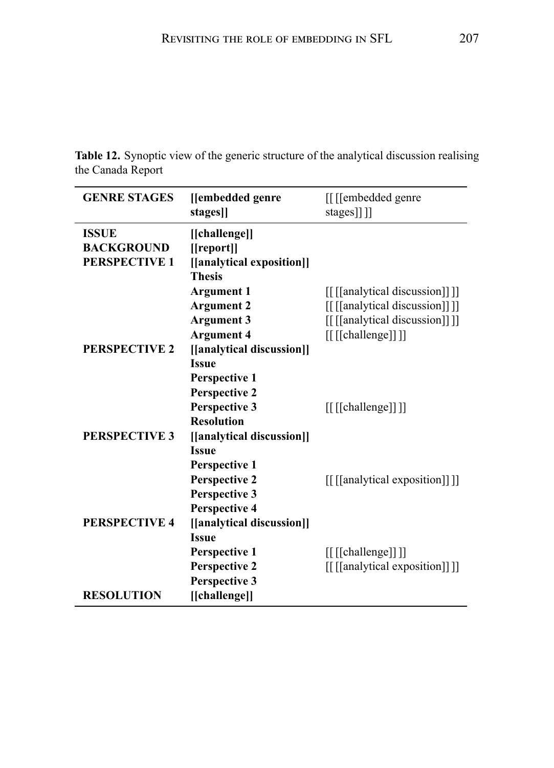**Table 12.** Synoptic view of the generic structure of the analytical discussion realising the Canada Report

| <b>GENRE STAGES</b>  | [[embedded genre          | [[[embedded genre]            |
|----------------------|---------------------------|-------------------------------|
|                      | stages]]                  | stages]]]                     |
| <b>ISSUE</b>         | [[challenge]]             |                               |
| <b>BACKGROUND</b>    | [[report]]                |                               |
| <b>PERSPECTIVE 1</b> | [[analytical exposition]] |                               |
|                      | <b>Thesis</b>             |                               |
|                      | <b>Argument 1</b>         | [[[analytical discussion]]]]  |
|                      | <b>Argument 2</b>         | [[[[analytical discussion]]]] |
|                      | <b>Argument 3</b>         | [[[[analytical discussion]]]] |
|                      | <b>Argument 4</b>         | [[[[challenge]]]]             |
| <b>PERSPECTIVE 2</b> | [[analytical discussion]] |                               |
|                      | <b>Issue</b>              |                               |
|                      | <b>Perspective 1</b>      |                               |
|                      | <b>Perspective 2</b>      |                               |
|                      | <b>Perspective 3</b>      | [[[[challenge]]]]             |
|                      | <b>Resolution</b>         |                               |
| <b>PERSPECTIVE 3</b> | [[analytical discussion]] |                               |
|                      | <b>Issue</b>              |                               |
|                      | <b>Perspective 1</b>      |                               |
|                      | Perspective 2             | [[[analytical exposition]]]]  |
|                      | Perspective 3             |                               |
|                      | <b>Perspective 4</b>      |                               |
| <b>PERSPECTIVE 4</b> | [[analytical discussion]] |                               |
|                      | <b>Issue</b>              |                               |
|                      | Perspective 1             | [[[[Challenge]]]              |
|                      | <b>Perspective 2</b>      | [[[[analytical exposition]]]] |
|                      | Perspective 3             |                               |
| <b>RESOLUTION</b>    | [[challenge]]             |                               |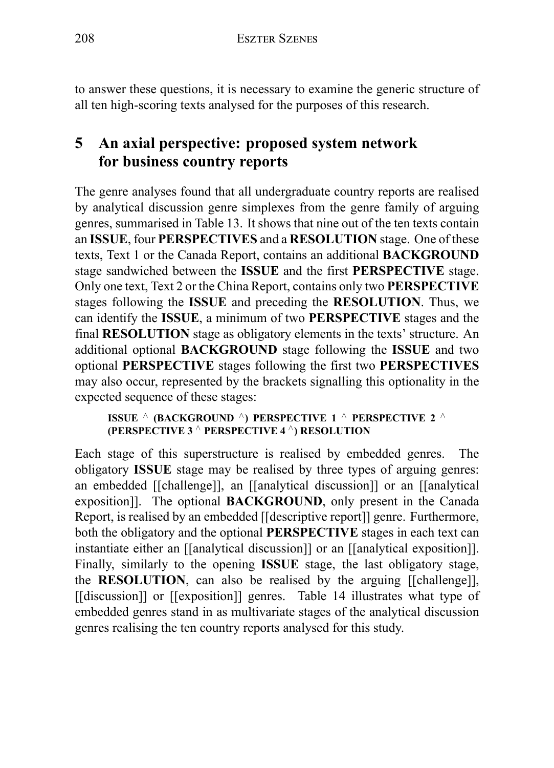to answer these questions, it is necessary to examine the generic structure of all ten high-scoring texts analysed for the purposes of this research.

# **5 An axial perspective: proposed system network for business country reports**

The genre analyses found that all undergraduate country reports are realised by analytical discussion genre simplexes from the genre family of arguing genres, summarised in Table 13. It shows that nine out of the ten texts contain an **ISSUE**, four **PERSPECTIVES** and a **RESOLUTION** stage. One of these texts, Text 1 or the Canada Report, contains an additional **BACKGROUND** stage sandwiched between the **ISSUE** and the first **PERSPECTIVE** stage. Only one text, Text 2 or the China Report, contains only two **PERSPECTIVE** stages following the **ISSUE** and preceding the **RESOLUTION**. Thus, we can identify the **ISSUE**, a minimum of two **PERSPECTIVE** stages and the final **RESOLUTION** stage as obligatory elements in the texts' structure. An additional optional **BACKGROUND** stage following the **ISSUE** and two optional **PERSPECTIVE** stages following the first two **PERSPECTIVES** may also occur, represented by the brackets signalling this optionality in the expected sequence of these stages:

**ISSUE** *∧* **(BACKGROUND** *∧***) PERSPECTIVE 1** *∧* **PERSPECTIVE 2** *∧* **(PERSPECTIVE 3** *∧* **PERSPECTIVE 4** *∧***) RESOLUTION**

Each stage of this superstructure is realised by embedded genres. The obligatory **ISSUE** stage may be realised by three types of arguing genres: an embedded [[challenge]], an [[analytical discussion]] or an [[analytical exposition]]. The optional **BACKGROUND**, only present in the Canada Report, is realised by an embedded [[descriptive report]] genre. Furthermore, both the obligatory and the optional **PERSPECTIVE** stages in each text can instantiate either an [[analytical discussion]] or an [[analytical exposition]]. Finally, similarly to the opening **ISSUE** stage, the last obligatory stage, the **RESOLUTION**, can also be realised by the arguing [[challenge]], [[discussion]] or [[exposition]] genres. Table 14 illustrates what type of embedded genres stand in as multivariate stages of the analytical discussion genres realising the ten country reports analysed for this study.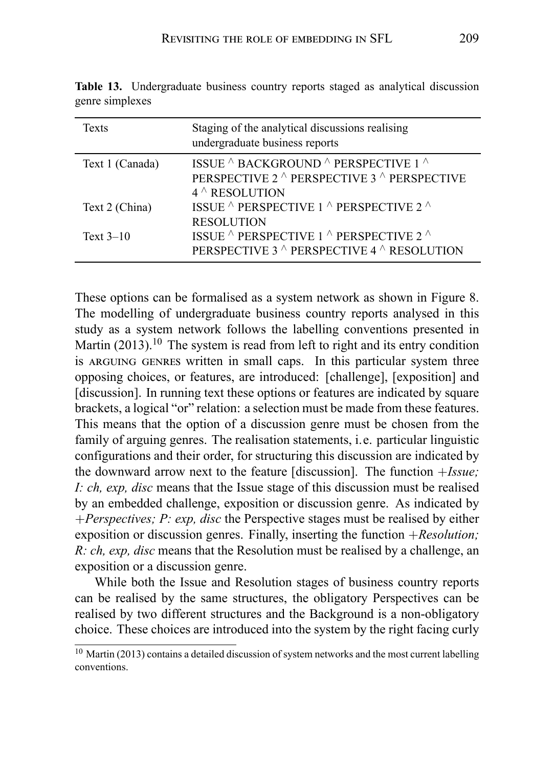| <b>Texts</b>    | Staging of the analytical discussions realising<br>undergraduate business reports                                                   |
|-----------------|-------------------------------------------------------------------------------------------------------------------------------------|
| Text 1 (Canada) | ISSUE $\wedge$ BACKGROUND $\wedge$ PERSPECTIVE 1 $\wedge$<br>PERSPECTIVE 2 ^ PERSPECTIVE 3 ^ PERSPECTIVE<br>$4^{\wedge}$ RESOLUTION |
| Text 2 (China)  | ISSUE $\wedge$ PERSPECTIVE 1 $\wedge$ PERSPECTIVE 2 $\wedge$<br><b>RESOLUTION</b>                                                   |
| Text $3-10$     | ISSUE $^\wedge$ PERSPECTIVE 1 $^\wedge$ PERSPECTIVE 2 $^\wedge$<br>PERSPECTIVE 3 ^ PERSPECTIVE 4 ^ RESOLUTION                       |

**Table 13.** Undergraduate business country reports staged as analytical discussion genre simplexes

These options can be formalised as a system network as shown in Figure 8. The modelling of undergraduate business country reports analysed in this study as a system network follows the labelling conventions presented in Martin  $(2013)$ <sup>10</sup>. The system is read from left to right and its entry condition is ARGUING GENRES written in small caps. In this particular system three opposing choices, or features, are introduced: [challenge], [exposition] and [discussion]. In running text these options or features are indicated by square brackets, a logical "or" relation: a selection must be made from these features. This means that the option of a discussion genre must be chosen from the family of arguing genres. The realisation statements, i.e. particular linguistic configurations and their order, for structuring this discussion are indicated by the downward arrow next to the feature [discussion]. The function +*Issue; I: ch, exp, disc* means that the Issue stage of this discussion must be realised by an embedded challenge, exposition or discussion genre. As indicated by +*Perspectives; P: exp, disc* the Perspective stages must be realised by either exposition or discussion genres. Finally, inserting the function +*Resolution; R: ch, exp, disc* means that the Resolution must be realised by a challenge, an exposition or a discussion genre.

While both the Issue and Resolution stages of business country reports can be realised by the same structures, the obligatory Perspectives can be realised by two different structures and the Background is a non-obligatory choice. These choices are introduced into the system by the right facing curly

<sup>&</sup>lt;sup>10</sup> Martin (2013) contains a detailed discussion of system networks and the most current labelling conventions.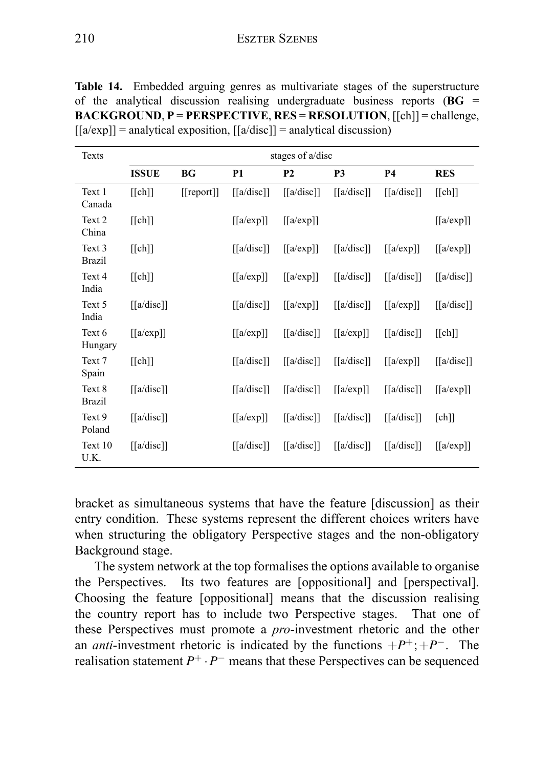|  |  | <b>Table 14.</b> Embedded arguing genres as multivariate stages of the superstructure                               |  |  |
|--|--|---------------------------------------------------------------------------------------------------------------------|--|--|
|  |  | of the analytical discussion realising undergraduate business reports ( $\bf{B}$ G =                                |  |  |
|  |  | <b>BACKGROUND, P = PERSPECTIVE, RES = RESOLUTION, [[ch]] = challenge,</b>                                           |  |  |
|  |  | $\lfloor \frac{a}{\exp} \rfloor$ = analytical exposition, $\lfloor \frac{a}{\deg} \rfloor$ = analytical discussion) |  |  |

| Texts                   | stages of a/disc                              |            |                                               |                                               |                                                    |                                               |                                               |  |  |
|-------------------------|-----------------------------------------------|------------|-----------------------------------------------|-----------------------------------------------|----------------------------------------------------|-----------------------------------------------|-----------------------------------------------|--|--|
|                         | <b>ISSUE</b>                                  | ВG         | <b>P1</b>                                     | <b>P2</b>                                     | P3                                                 | <b>P4</b>                                     | <b>RES</b>                                    |  |  |
| Text 1<br>Canada        | [[ch]]                                        | [[report]] | $\left[ \left[ a/disc \right] \right]$        | $\left[ \left[ a/disc \right] \right]$        | $\left[ \left[ a/disc \right] \right]$             | $\left[ \left[ a/disc \right] \right]$        | [[ch]]                                        |  |  |
| Text 2<br>China         | [[ch]]                                        |            | $\left[ \left[ \alpha / \exp \right] \right]$ | $\left[ \left[ \alpha / \exp \right] \right]$ |                                                    |                                               | $\left[ \left[ \alpha / \exp \right] \right]$ |  |  |
| Text 3<br><b>Brazil</b> | [[ch]]                                        |            | $\lceil \lceil a/disc \rceil \rceil$          | $\left[ \left[ \alpha / \exp \right] \right]$ | $\left[ \left[ a/disc \right] \right]$             | $\left[ \left[ \alpha / \exp \right] \right]$ | $\left[ \left[ \alpha / \exp \right] \right]$ |  |  |
| Text 4<br>India         | [[ch]]                                        |            | $\left[ \left[ \alpha / \exp \right] \right]$ | $\left[ \left[ \alpha / \exp \right] \right]$ | $\left[ \left[ a/disc \right] \right]$             | $\left[ \left[ a/disc \right] \right]$        | $\left[ \left[ a/disc \right] \right]$        |  |  |
| Text 5<br>India         | $\left[ \left[ a/disc \right] \right]$        |            | $\left[ \left[ a/disc \right] \right]$        | $\left[ \left[ \alpha / \exp \right] \right]$ | $\left[ \left[ a/disc \right] \right]$             | $\left[ \left[ \alpha / \exp \right] \right]$ | $\left[ \left[ a/disc \right] \right]$        |  |  |
| Text 6<br>Hungary       | $\left[ \left[ \alpha / \exp \right] \right]$ |            | $\left[ \left[ \alpha / \exp \right] \right]$ | $\left[ \left[ a/disc \right] \right]$        | $\left[ \left[ \alpha / \exp \right] \right]$      | $\left[ \left[ a/disc \right] \right]$        | [[ch]]                                        |  |  |
| Text 7<br>Spain         | [[ch]]                                        |            | $\left[ \left[ a/disc \right] \right]$        | $\left[ \left[ a/disc \right] \right]$        | $\left[ \left[ a/disc \right] \right]$             | $\left[ \left[ \alpha / \exp \right] \right]$ | $\left[ \left[ a/disc \right] \right]$        |  |  |
| Text 8<br><b>Brazil</b> | $\left[ \left[ a/disc \right] \right]$        |            | $\left[ \left[ a/disc \right] \right]$        | $\left[ \left[ a/disc \right] \right]$        | $\left[ \left[ \alpha / \exp \right] \right]$      | $\left[ \left[ a/disc \right] \right]$        | $\left[ \left[ \alpha / \exp \right] \right]$ |  |  |
| Text 9<br>Poland        | $\left[ \left[ a/disc \right] \right]$        |            | $\left[ \left[ \alpha / \exp \right] \right]$ | $\left[ \left[ a/disc \right] \right]$        | $\left[ \left[ a/disc \right] \right]$             | $\left[ \left[ a/disc \right] \right]$        | [ch]                                          |  |  |
| Text 10<br>U.K.         | $\left[ \left[ a/disc \right] \right]$        |            | $\left[ \left[ a/disc \right] \right]$        | $\left[ \left[ a/disc \right] \right]$        | $\left[ \left[ \alpha/\text{disc} \right] \right]$ | $\left[ \left[ \alpha/disc \right] \right]$   | $\left[ \left[ \alpha / \exp \right] \right]$ |  |  |

bracket as simultaneous systems that have the feature [discussion] as their entry condition. These systems represent the different choices writers have when structuring the obligatory Perspective stages and the non-obligatory Background stage.

The system network at the top formalises the options available to organise the Perspectives. Its two features are [oppositional] and [perspectival]. Choosing the feature [oppositional] means that the discussion realising the country report has to include two Perspective stages. That one of these Perspectives must promote a *pro*-investment rhetoric and the other an *anti*-investment rhetoric is indicated by the functions  $+P^+; +P^-$ . The realisation statement *P* <sup>+</sup> *·<sup>P</sup> −* means that these Perspectives can be sequenced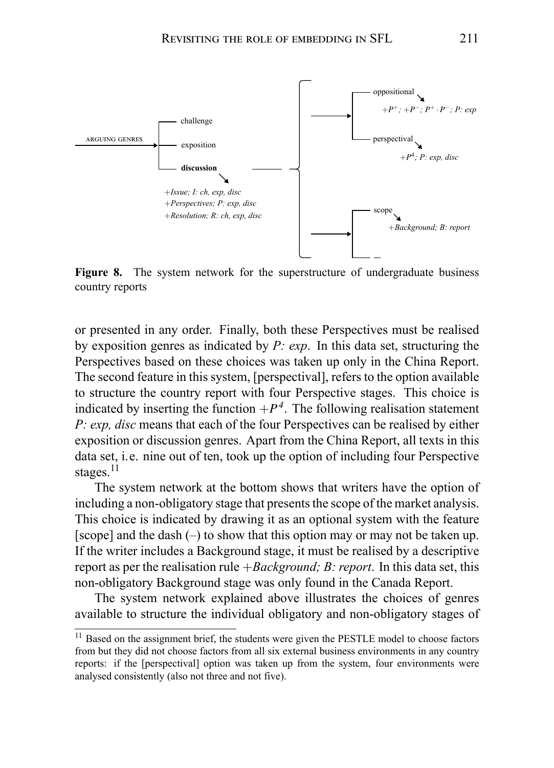

**Figure 8.** The system network for the superstructure of undergraduate business country reports

or presented in any order. Finally, both these Perspectives must be realised by exposition genres as indicated by *P: exp*. In this data set, structuring the Perspectives based on these choices was taken up only in the China Report. The second feature in this system, [perspectival], refers to the option available to structure the country report with four Perspective stages. This choice is indicated by inserting the function  $+P<sup>4</sup>$ . The following realisation statement *P: exp, disc* means that each of the four Perspectives can be realised by either exposition or discussion genres. Apart from the China Report, all texts in this data set, i.e. nine out of ten, took up the option of including four Perspective stages. $^{11}$ 

The system network at the bottom shows that writers have the option of including a non-obligatory stage that presents the scope of the market analysis. This choice is indicated by drawing it as an optional system with the feature [scope] and the dash (–) to show that this option may or may not be taken up. If the writer includes a Background stage, it must be realised by a descriptive report as per the realisation rule +*Background; B: report*. In this data set, this non-obligatory Background stage was only found in the Canada Report.

The system network explained above illustrates the choices of genres available to structure the individual obligatory and non-obligatory stages of

<sup>&</sup>lt;sup>11</sup> Based on the assignment brief, the students were given the PESTLE model to choose factors from but they did not choose factors from all six external business environments in any country reports: if the [perspectival] option was taken up from the system, four environments were analysed consistently (also not three and not five).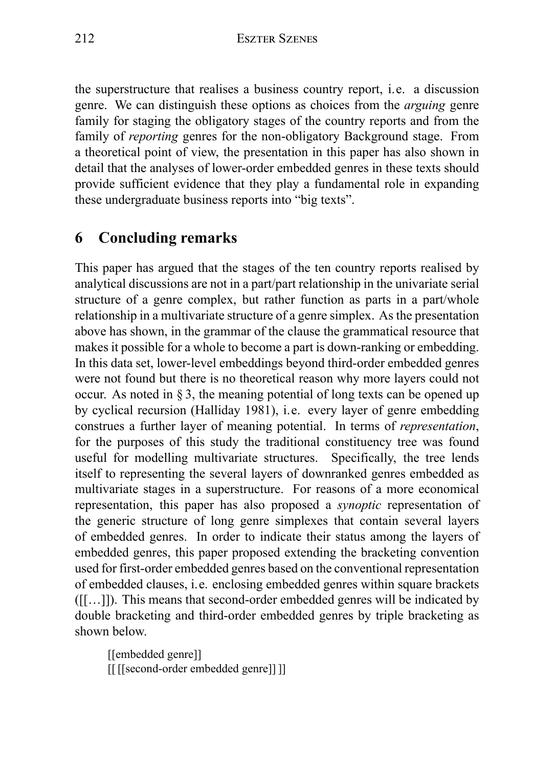the superstructure that realises a business country report, i.e. a discussion genre. We can distinguish these options as choices from the *arguing* genre family for staging the obligatory stages of the country reports and from the family of *reporting* genres for the non-obligatory Background stage. From a theoretical point of view, the presentation in this paper has also shown in detail that the analyses of lower-order embedded genres in these texts should provide sufficient evidence that they play a fundamental role in expanding these undergraduate business reports into "big texts".

# **6 Concluding remarks**

This paper has argued that the stages of the ten country reports realised by analytical discussions are not in a part/part relationship in the univariate serial structure of a genre complex, but rather function as parts in a part/whole relationship in a multivariate structure of a genre simplex. As the presentation above has shown, in the grammar of the clause the grammatical resource that makes it possible for a whole to become a part is down-ranking or embedding. In this data set, lower-level embeddings beyond third-order embedded genres were not found but there is no theoretical reason why more layers could not occur. As noted in § 3, the meaning potential of long texts can be opened up by cyclical recursion (Halliday 1981), i.e. every layer of genre embedding construes a further layer of meaning potential. In terms of *representation*, for the purposes of this study the traditional constituency tree was found useful for modelling multivariate structures. Specifically, the tree lends itself to representing the several layers of downranked genres embedded as multivariate stages in a superstructure. For reasons of a more economical representation, this paper has also proposed a *synoptic* representation of the generic structure of long genre simplexes that contain several layers of embedded genres. In order to indicate their status among the layers of embedded genres, this paper proposed extending the bracketing convention used for first-order embedded genres based on the conventional representation of embedded clauses, i.e. enclosing embedded genres within square brackets ([[…]]). This means that second-order embedded genres will be indicated by double bracketing and third-order embedded genres by triple bracketing as shown below.

[[embedded genre]] [[ [[second-order embedded genre]] ]]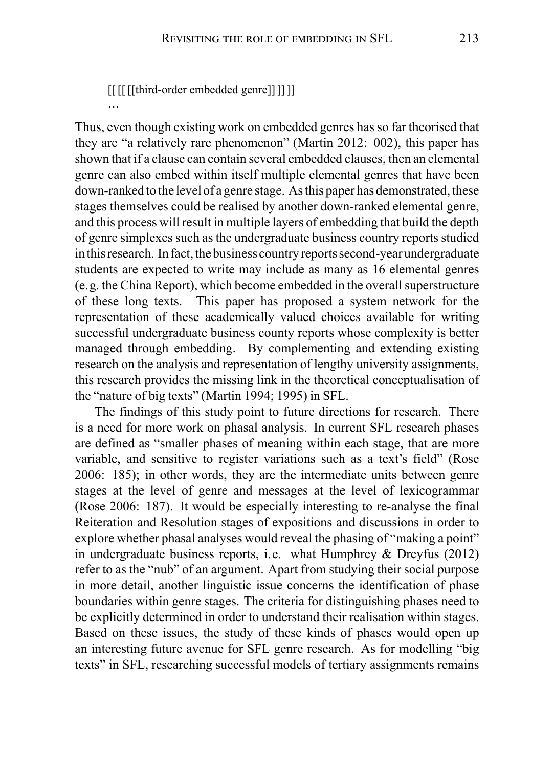[[ [[ [[third-order embedded genre]] ]] ]]

…

Thus, even though existing work on embedded genres has so far theorised that they are "a relatively rare phenomenon" (Martin 2012: 002), this paper has shown that if a clause can contain several embedded clauses, then an elemental genre can also embed within itself multiple elemental genres that have been down-ranked to the level of a genre stage. As this paper has demonstrated, these stages themselves could be realised by another down-ranked elemental genre, and this process will result in multiple layers of embedding that build the depth of genre simplexes such as the undergraduate business country reports studied in this research. In fact, the business country reports second-year undergraduate students are expected to write may include as many as 16 elemental genres (e.g. the China Report), which become embedded in the overall superstructure of these long texts. This paper has proposed a system network for the representation of these academically valued choices available for writing successful undergraduate business county reports whose complexity is better managed through embedding. By complementing and extending existing research on the analysis and representation of lengthy university assignments, this research provides the missing link in the theoretical conceptualisation of the "nature of big texts" (Martin 1994; 1995) in SFL.

The findings of this study point to future directions for research. There is a need for more work on phasal analysis. In current SFL research phases are defined as "smaller phases of meaning within each stage, that are more variable, and sensitive to register variations such as a text's field" (Rose 2006: 185); in other words, they are the intermediate units between genre stages at the level of genre and messages at the level of lexicogrammar (Rose 2006: 187). It would be especially interesting to re-analyse the final Reiteration and Resolution stages of expositions and discussions in order to explore whether phasal analyses would reveal the phasing of "making a point" in undergraduate business reports, i.e. what Humphrey & Dreyfus (2012) refer to as the "nub" of an argument. Apart from studying their social purpose in more detail, another linguistic issue concerns the identification of phase boundaries within genre stages. The criteria for distinguishing phases need to be explicitly determined in order to understand their realisation within stages. Based on these issues, the study of these kinds of phases would open up an interesting future avenue for SFL genre research. As for modelling "big texts" in SFL, researching successful models of tertiary assignments remains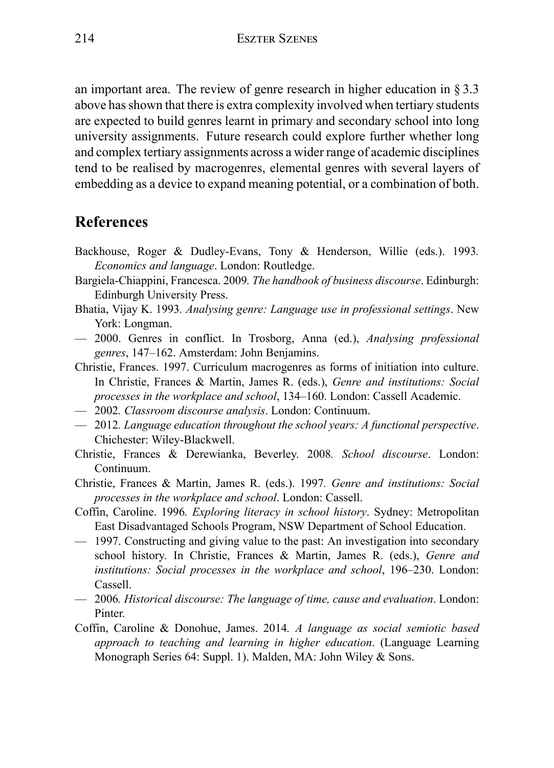an important area. The review of genre research in higher education in § 3.3 above has shown that there is extra complexity involved when tertiary students are expected to build genres learnt in primary and secondary school into long university assignments. Future research could explore further whether long and complex tertiary assignments across a wider range of academic disciplines tend to be realised by macrogenres, elemental genres with several layers of embedding as a device to expand meaning potential, or a combination of both.

## **References**

- Backhouse, Roger & Dudley-Evans, Tony & Henderson, Willie (eds.). 1993*. Economics and language*. London: Routledge.
- Bargiela-Chiappini, Francesca. 2009*. The handbook of business discourse*. Edinburgh: Edinburgh University Press.
- Bhatia, Vijay K. 1993*. Analysing genre: Language use in professional settings*. New York: Longman.
- 2000. Genres in conflict. In Trosborg, Anna (ed.), *Analysing professional genres*, 147–162. Amsterdam: John Benjamins.
- Christie, Frances. 1997. Curriculum macrogenres as forms of initiation into culture. In Christie, Frances & Martin, James R. (eds.), *Genre and institutions: Social processes in the workplace and school*, 134–160. London: Cassell Academic.
- 2002*. Classroom discourse analysis*. London: Continuum.
- 2012*. Language education throughout the school years: A functional perspective*. Chichester: Wiley-Blackwell.
- Christie, Frances & Derewianka, Beverley. 2008*. School discourse*. London: Continuum.
- Christie, Frances & Martin, James R. (eds.). 1997*. Genre and institutions: Social processes in the workplace and school*. London: Cassell.
- Coffin, Caroline. 1996*. Exploring literacy in school history*. Sydney: Metropolitan East Disadvantaged Schools Program, NSW Department of School Education.
- 1997. Constructing and giving value to the past: An investigation into secondary school history. In Christie, Frances & Martin, James R. (eds.), *Genre and institutions: Social processes in the workplace and school*, 196–230. London: Cassell.
- 2006*. Historical discourse: The language of time, cause and evaluation*. London: Pinter.
- Coffin, Caroline & Donohue, James. 2014*. A language as social semiotic based approach to teaching and learning in higher education*. (Language Learning Monograph Series 64: Suppl. 1). Malden, MA: John Wiley & Sons.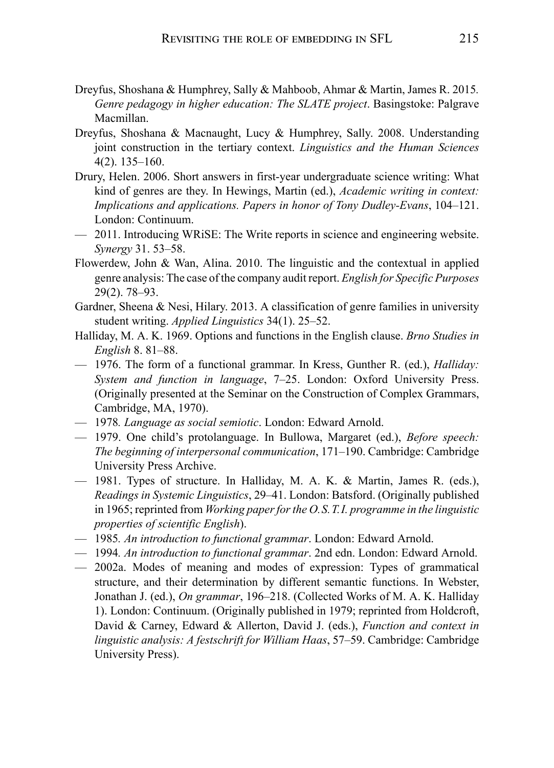- Dreyfus, Shoshana & Humphrey, Sally & Mahboob, Ahmar & Martin, James R. 2015*. Genre pedagogy in higher education: The SLATE project*. Basingstoke: Palgrave Macmillan.
- Dreyfus, Shoshana & Macnaught, Lucy & Humphrey, Sally. 2008. Understanding joint construction in the tertiary context. *Linguistics and the Human Sciences* 4(2). 135–160.
- Drury, Helen. 2006. Short answers in first-year undergraduate science writing: What kind of genres are they. In Hewings, Martin (ed.), *Academic writing in context: Implications and applications. Papers in honor of Tony Dudley-Evans*, 104–121. London: Continuum.
- 2011. Introducing WRiSE: The Write reports in science and engineering website. *Synergy* 31. 53–58.
- Flowerdew, John & Wan, Alina. 2010. The linguistic and the contextual in applied genre analysis: The case of the company audit report. *English for Specific Purposes* 29(2). 78–93.
- Gardner, Sheena & Nesi, Hilary. 2013. A classification of genre families in university student writing. *Applied Linguistics* 34(1). 25–52.
- Halliday, M. A. K. 1969. Options and functions in the English clause. *Brno Studies in English* 8. 81–88.
- 1976. The form of a functional grammar. In Kress, Gunther R. (ed.), *Halliday: System and function in language*, 7–25. London: Oxford University Press. (Originally presented at the Seminar on the Construction of Complex Grammars, Cambridge, MA, 1970).
- 1978*. Language as social semiotic*. London: Edward Arnold.
- 1979. One child's protolanguage. In Bullowa, Margaret (ed.), *Before speech: The beginning of interpersonal communication*, 171–190. Cambridge: Cambridge University Press Archive.
- 1981. Types of structure. In Halliday, M. A. K. & Martin, James R. (eds.), *Readings in Systemic Linguistics*, 29–41. London: Batsford. (Originally published in 1965; reprinted from *Working paper for the O.S.T.I. programme in the linguistic properties of scientific English*).
- 1985*. An introduction to functional grammar*. London: Edward Arnold.
- 1994*. An introduction to functional grammar*. 2nd edn. London: Edward Arnold.
- 2002a. Modes of meaning and modes of expression: Types of grammatical structure, and their determination by different semantic functions. In Webster, Jonathan J. (ed.), *On grammar*, 196–218. (Collected Works of M. A. K. Halliday 1). London: Continuum. (Originally published in 1979; reprinted from Holdcroft, David & Carney, Edward & Allerton, David J. (eds.), *Function and context in linguistic analysis: A festschrift for William Haas*, 57–59. Cambridge: Cambridge University Press).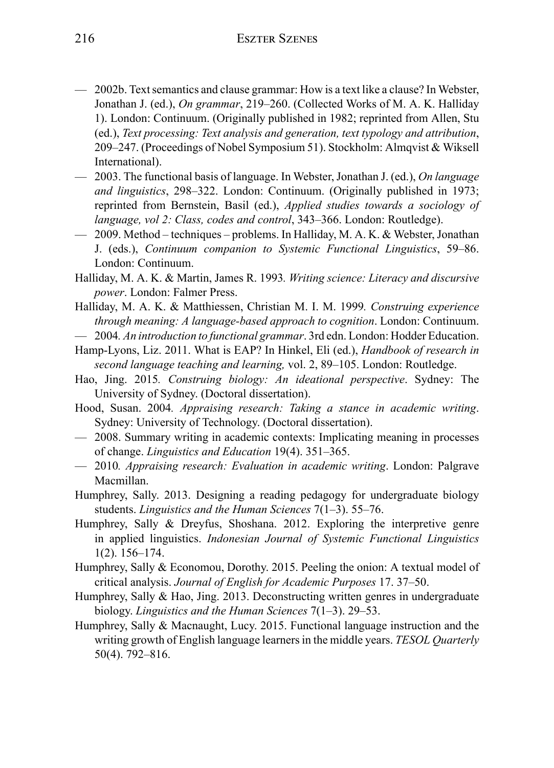- 2002b. Text semantics and clause grammar: How is a text like a clause? In Webster, Jonathan J. (ed.), *On grammar*, 219–260. (Collected Works of M. A. K. Halliday 1). London: Continuum. (Originally published in 1982; reprinted from Allen, Stu (ed.), *Text processing: Text analysis and generation, text typology and attribution*, 209–247. (Proceedings of Nobel Symposium 51). Stockholm: Almqvist & Wiksell International).
- 2003. The functional basis of language. In Webster, Jonathan J. (ed.), *On language and linguistics*, 298–322. London: Continuum. (Originally published in 1973; reprinted from Bernstein, Basil (ed.), *Applied studies towards a sociology of language, vol 2: Class, codes and control*, 343–366. London: Routledge).
- 2009. Method techniques problems. In Halliday, M. A. K. & Webster, Jonathan J. (eds.), *Continuum companion to Systemic Functional Linguistics*, 59–86. London: Continuum.
- Halliday, M. A. K. & Martin, James R. 1993*. Writing science: Literacy and discursive power*. London: Falmer Press.
- Halliday, M. A. K. & Matthiessen, Christian M. I. M. 1999*. Construing experience through meaning: A language-based approach to cognition*. London: Continuum. — 2004*. An introduction to functional grammar*. 3rd edn. London: Hodder Education.
- Hamp-Lyons, Liz. 2011. What is EAP? In Hinkel, Eli (ed.), *Handbook of research in*
- *second language teaching and learning,* vol. 2, 89–105. London: Routledge.
- Hao, Jing. 2015*. Construing biology: An ideational perspective*. Sydney: The University of Sydney. (Doctoral dissertation).
- Hood, Susan. 2004*. Appraising research: Taking a stance in academic writing*. Sydney: University of Technology. (Doctoral dissertation).
- 2008. Summary writing in academic contexts: Implicating meaning in processes of change. *Linguistics and Education* 19(4). 351–365.
- 2010*. Appraising research: Evaluation in academic writing*. London: Palgrave Macmillan.
- Humphrey, Sally. 2013. Designing a reading pedagogy for undergraduate biology students. *Linguistics and the Human Sciences* 7(1–3). 55–76.
- Humphrey, Sally & Dreyfus, Shoshana. 2012. Exploring the interpretive genre in applied linguistics. *Indonesian Journal of Systemic Functional Linguistics* 1(2). 156–174.
- Humphrey, Sally & Economou, Dorothy. 2015. Peeling the onion: A textual model of critical analysis. *Journal of English for Academic Purposes* 17. 37–50.
- Humphrey, Sally & Hao, Jing. 2013. Deconstructing written genres in undergraduate biology. *Linguistics and the Human Sciences* 7(1–3). 29–53.
- Humphrey, Sally & Macnaught, Lucy. 2015. Functional language instruction and the writing growth of English language learners in the middle years. *TESOL Quarterly* 50(4). 792–816.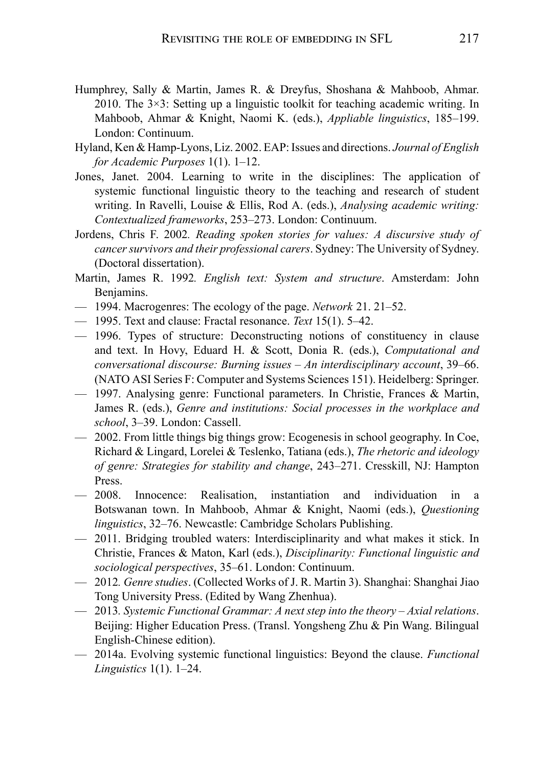- Humphrey, Sally & Martin, James R. & Dreyfus, Shoshana & Mahboob, Ahmar. 2010. The  $3\times3$ : Setting up a linguistic toolkit for teaching academic writing. In Mahboob, Ahmar & Knight, Naomi K. (eds.), *Appliable linguistics*, 185–199. London: Continuum.
- Hyland, Ken & Hamp-Lyons, Liz. 2002. EAP: Issues and directions. *Journal of English for Academic Purposes* 1(1). 1–12.
- Jones, Janet. 2004. Learning to write in the disciplines: The application of systemic functional linguistic theory to the teaching and research of student writing. In Ravelli, Louise & Ellis, Rod A. (eds.), *Analysing academic writing: Contextualized frameworks*, 253–273. London: Continuum.
- Jordens, Chris F. 2002*. Reading spoken stories for values: A discursive study of cancer survivors and their professional carers*. Sydney: The University of Sydney. (Doctoral dissertation).
- Martin, James R. 1992*. English text: System and structure*. Amsterdam: John Benjamins.
- 1994. Macrogenres: The ecology of the page. *Network* 21. 21–52.
- 1995. Text and clause: Fractal resonance. *Text* 15(1). 5–42.
- 1996. Types of structure: Deconstructing notions of constituency in clause and text. In Hovy, Eduard H. & Scott, Donia R. (eds.), *Computational and conversational discourse: Burning issues – An interdisciplinary account*, 39–66. (NATO ASI Series F: Computer and Systems Sciences 151). Heidelberg: Springer.
- 1997. Analysing genre: Functional parameters. In Christie, Frances & Martin, James R. (eds.), *Genre and institutions: Social processes in the workplace and school*, 3–39. London: Cassell.
- 2002. From little things big things grow: Ecogenesis in school geography. In Coe, Richard & Lingard, Lorelei & Teslenko, Tatiana (eds.), *The rhetoric and ideology of genre: Strategies for stability and change*, 243–271. Cresskill, NJ: Hampton Press.
- 2008. Innocence: Realisation, instantiation and individuation in a Botswanan town. In Mahboob, Ahmar & Knight, Naomi (eds.), *Questioning linguistics*, 32–76. Newcastle: Cambridge Scholars Publishing.
- 2011. Bridging troubled waters: Interdisciplinarity and what makes it stick. In Christie, Frances & Maton, Karl (eds.), *Disciplinarity: Functional linguistic and sociological perspectives*, 35–61. London: Continuum.
- 2012*. Genre studies*. (Collected Works of J. R. Martin 3). Shanghai: Shanghai Jiao Tong University Press. (Edited by Wang Zhenhua).
- 2013*. Systemic Functional Grammar: A next step into the theory Axial relations*. Beijing: Higher Education Press. (Transl. Yongsheng Zhu & Pin Wang. Bilingual English-Chinese edition).
- 2014a. Evolving systemic functional linguistics: Beyond the clause. *Functional Linguistics* 1(1). 1–24.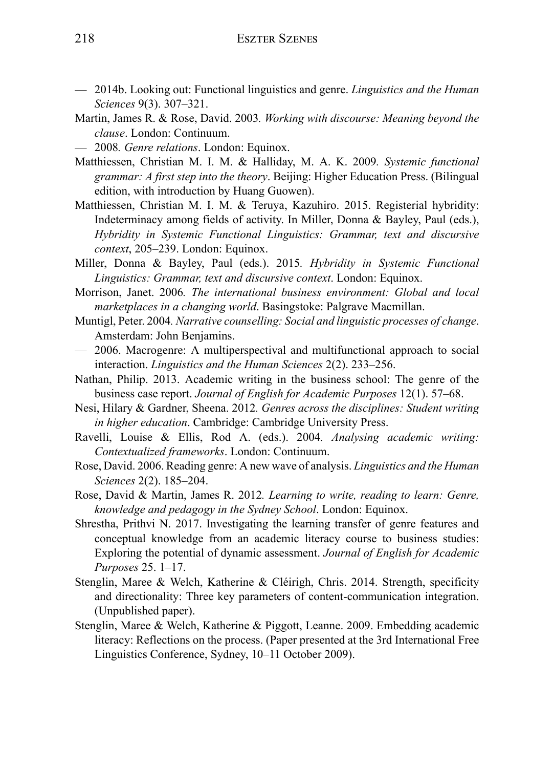- 2014b. Looking out: Functional linguistics and genre. *Linguistics and the Human Sciences* 9(3). 307–321.
- Martin, James R. & Rose, David. 2003*. Working with discourse: Meaning beyond the clause*. London: Continuum.
- 2008*. Genre relations*. London: Equinox.
- Matthiessen, Christian M. I. M. & Halliday, M. A. K. 2009*. Systemic functional grammar: A first step into the theory*. Beijing: Higher Education Press. (Bilingual edition, with introduction by Huang Guowen).
- Matthiessen, Christian M. I. M. & Teruya, Kazuhiro. 2015. Registerial hybridity: Indeterminacy among fields of activity. In Miller, Donna & Bayley, Paul (eds.), *Hybridity in Systemic Functional Linguistics: Grammar, text and discursive context*, 205–239. London: Equinox.
- Miller, Donna & Bayley, Paul (eds.). 2015*. Hybridity in Systemic Functional Linguistics: Grammar, text and discursive context*. London: Equinox.
- Morrison, Janet. 2006*. The international business environment: Global and local marketplaces in a changing world*. Basingstoke: Palgrave Macmillan.
- Muntigl, Peter. 2004*. Narrative counselling: Social and linguistic processes of change*. Amsterdam: John Benjamins.
- 2006. Macrogenre: A multiperspectival and multifunctional approach to social interaction. *Linguistics and the Human Sciences* 2(2). 233–256.
- Nathan, Philip. 2013. Academic writing in the business school: The genre of the business case report. *Journal of English for Academic Purposes* 12(1). 57–68.
- Nesi, Hilary & Gardner, Sheena. 2012*. Genres across the disciplines: Student writing in higher education*. Cambridge: Cambridge University Press.
- Ravelli, Louise & Ellis, Rod A. (eds.). 2004*. Analysing academic writing: Contextualized frameworks*. London: Continuum.
- Rose, David. 2006. Reading genre: A new wave of analysis. *Linguistics and the Human Sciences* 2(2). 185–204.
- Rose, David & Martin, James R. 2012*. Learning to write, reading to learn: Genre, knowledge and pedagogy in the Sydney School*. London: Equinox.
- Shrestha, Prithvi N. 2017. Investigating the learning transfer of genre features and conceptual knowledge from an academic literacy course to business studies: Exploring the potential of dynamic assessment. *Journal of English for Academic Purposes* 25. 1–17.
- Stenglin, Maree & Welch, Katherine & Cléirigh, Chris. 2014. Strength, specificity and directionality: Three key parameters of content-communication integration. (Unpublished paper).
- Stenglin, Maree & Welch, Katherine & Piggott, Leanne. 2009. Embedding academic literacy: Reflections on the process. (Paper presented at the 3rd International Free Linguistics Conference, Sydney, 10–11 October 2009).